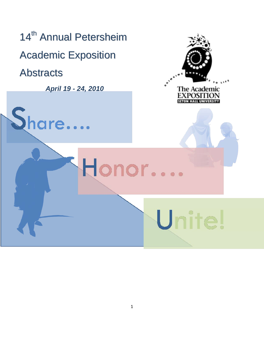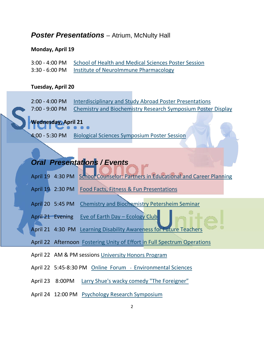# **Poster Presentations** – Atrium, McNulty Hall

# **Monday, April 19**

| 3:00 - 4:00 PM School of Health and Medical Sciences Poster Session |
|---------------------------------------------------------------------|
| 3:30 - 6:00 PM Institute of Neurolmmune Pharmacology                |

# **Tuesday, April 20**

| 2:00 - 4:00 PM Interdisciplinary and Study Abroad Poster Presentations      |
|-----------------------------------------------------------------------------|
| 7:00 - 9:00 PM Chemistry and Biochemistry Research Symposium Poster Display |

# **Wednesday, April 21**

4:00 - 5:30 PM [Biological Sciences Symposium Poster Session](#page-31-1)

# *Oral Presentations / Events*

- April 19 4:30 PM School [Counselor: Partners in Educational and Career Planning](#page-32-0)
- April 19 2:30 PM Food Facts, Fitness & Fun [Presentations](#page-32-1)
- April 20 5:45 PM [Chemistry and Biochemistry Petersheim Seminar](#page-33-0)

April 21 Evening [Eve of Earth Day –](#page-33-1) Ecology Club

April 21 4:30 PM [Learning Disability Awareness for Future Teachers](#page-33-2)

April 22 Afternoon [Fostering Unity of Effort in Full Spectrum Operations](#page-36-0)

- April 22 AM & PM sessions [University Honors Program](#page-34-0)
- April 22 5:45-8:30 PM [Online Forum Environmental Sciences](#page-34-0)
- April 23 8:00PM [Larry Shue's wacky comedy "The Foreigner"](#page-35-0)
- April 24 12:00 PM [Psychology Research Symposium](#page-37-0)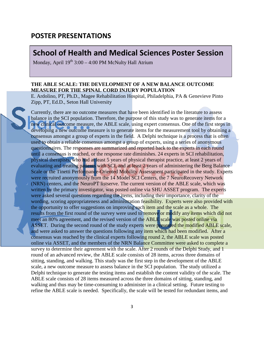# **POSTER PRESENTATIONS**

# <span id="page-2-0"></span>**School of Health and Medical Sciences Poster Session School of Health and Medical Sciences Poster Session**

Monday, April 19<sup>th</sup> 3:00 – 4:00 PM McNulty Hall Atrium

## **THE ABLE SCALE: THE DEVELOPMENT OF A NEW BALANCE OUTCOME MEASURE FOR THE SPINAL CORD INJURY POPULATION**

E. Ardolino, PT, Ph.D., Magee Rehabilitation Hospital, Philadelphia, PA & Genevieve Pinto Zipp, PT, Ed.D., Seton Hall University

Currently, there are no outcome measures that have been identified in the literature to assess balance in the SCI population. Therefore, the purpose of this study was to generate items for a new clinical outcome measure, the ABLE scale, using expert consensus. One of the first steps in developing a new outcome measure is to generate items for the measurement tool by obtaining a consensus amongst a group of experts in the field. A Delphi technique is a process that is often used to obtain a reliable consensus amongst a group of experts, using a series of anonymous questionnaires. The responses are summarized and reported back to the experts in each round until a consensus is reached, or the response rate diminishes. 24 experts in SCI rehabilitation, physical therapists, who had at least 5 years of physical therapist practice, at least 2 years of evaluating and treating patients with SCI, and at least 2 years of administering the Berg Balance Scale or the Tinetti Performance-Oriented Mobility Assessment participated in the study. Experts were recruited anonymously from the 14 Model SCI Centers, the 7 NeuroRecovery Network (NRN) centers, and the NeuroPT listserve. The current version of the ABLE scale, which was written by the primary investigator, was posted online via SHU ASSET program. The experts were asked several questions regarding the items, including their importance, clarity of the wording, scoring appropriateness and administration feasibility. Experts were also provided with the opportunity to offer suggestions on improving each item and the scale as a whole. The results from the first round of the survey were used to remove or modify any items which did not meet an 80% agreement, and the revised version of the ABLE scale was posted online via ASSET. During the second round of the study experts were presented the modified ABLE scale, and were asked to answer the questions following any item which had been modified. After a consensus was reached by the clinical experts following round 2, the ABLE scale was posted online via ASSET, and the members of the NRN Balance Committee were asked to complete a survey to determine their agreement with the scale. After 2 rounds of the Delphi Study, and 1 round of an advanced review, the ABLE scale consists of 28 items, across three domains of sitting, standing, and walking. This study was the first step in the development of the ABLE scale, a new outcome measure to assess balance in the SCI population. The study utilized a Delphi technique to generate the testing items and establish the content validity of the scale. The ABLE scale consists of 28 items measured across the three domains of sitting, standing, and walking and thus may be time-consuming to administer in a clinical setting. Future testing to refine the ABLE scale is needed. Specifically, the scale will be tested for redundant items, and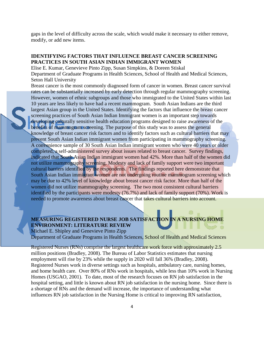gaps in the level of difficulty across the scale, which would make it necessary to either remove, modify, or add new items.

## **IDENTIFYING FACTORS THAT INFLUENCE BREAST CANCER SCREENING PRACTICES IN SOUTH ASIAN INDIAN IMMIGRANT WOMEN**

Elise E. Kumar, Genevieve Pinto Zipp, Susan Simpkins, & Doreen Stiskal Department of Graduate Programs in Health Sciences, School of Health and Medical Sciences, Seton Hall University

Breast cancer is the most commonly diagnosed form of cancer in women. Breast cancer survival rates can be substantially increased by early detection through regular mammography screening. However, women of ethnic subgroups and those who immigrated to the United States within last 10 years are less likely to have had a recent mammogram. South Asian Indians are the third largest Asian group in the United States. Identifying the factors that influence the breast cancer screening practices of South Asian Indian Immigrant women is an important step towards developing culturally sensitive health education programs designed to raise awareness of the benefits of mammogram screening. The purpose of this study was to assess the general knowledge of breast cancer risk factors and to identify factors such as cultural barriers that may prevent South Asian Indian immigrant women from participating in mammography screening. A convenience sample of 30 South Asian Indian immigrant women who were 40 years or older completed, a self-administered survey about issues related to breast cancer. Survey findings, indicated that South Asian Indian immigrant women had 42%. More than half of the women did not utilize mammography screening. Modesty and lack of family support were two important cultural barriers identified by the respondents. The findings reported here demonstrate that South Asian Indian immigrant women are not undergoing routine mammogram screening which may be due to 42% level of knowledge about breast cancer risk factor. More than half of the women did not utilize mammography screening. The two most consistent cultural barriers identified by the participants were modesty (76.7%) and lack of family support (70%). Work is needed to promote awareness about breast cancer that takes cultural barriers into account.

# **MEASURING REGISTERED NURSE JOB SATISFACTION IN A NURSING HOME ENVIRONMENT: LITERATURE REVIEW**

Michael E. Shipley and Genevieve Pinto Zipp Department of Graduate Programs in Health Sciences, School of Health and Medical Sciences

Registered Nurses (RNs) comprise the largest healthcare work force with approximately 2.5 million positions (Bradley, 2008). The Bureau of Labor Statistics estimates that nursing employment will rise by 23% while the supply in 2020 will fall 36% (Bradley, 2008). Registered Nurses work in diverse settings such as hospitals, ambulatory care, nursing homes, and home health care. Over 80% of RNs work in hospitals, while less than 10% work in Nursing Homes (USGAO, 2001). To date, most of the research focuses on RN job satisfaction in the hospital setting, and little is known about RN job satisfaction in the nursing home. Since there is a shortage of RNs and the demand will increase, the importance of understanding what influences RN job satisfaction in the Nursing Home is critical to improving RN satisfaction,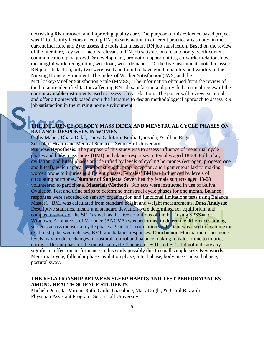decreasing RN turnover, and improving quality care. The purpose of this evidence based project was 1) to identify factors affecting RN job satisfaction in different practice areas noted in the current literature and 2) to assess the tools that measure RN job satisfaction. Based on the review of the literature, key work factors relevant to RN job satisfaction are autonomy, work content, communication, pay, growth & development, promotion opportunities, co-worker relationships, meaningful work, recognition, workload, work demands. Of the five instruments noted to assess RN job satisfaction, only two were used and found to have good reliability and validity in the Nursing Home environment: The Index of Worker Satisfaction (IWS) and the McCloskey/Mueller Satisfaction Scale (MMSS). The information obtained from the review of the literature identified factors affecting RN job satisfaction and provided a critical review of the current available instruments used to assess job satisfaction. The poster will review each tool and offer a framework based upon the literature to design methodological approach to assess RN job satisfaction in the nursing home environment.

# **THE INFLUENCE OF BODY MASS INDEX AND MENSTRUAL CYCLE PHASES ON BALANCE RESPONSES IN WOMEN**

Cathy Maher, Dhara Dalal, Tanya Galofaro, Emilia Quezada, & Jillian Regis School of Health and Medical Sciences, Seton Hall University

**Purpose/Hypothesis**: The purpose of this study was to assess influence of menstrual cycle phases and body mass index (BMI) on balance responses in females aged 18-28. Follicular, ovulation, and luteal phases are identified by levels of cycling hormones (estrogen, progesterone, and luteal), which appear to affect strength, proprioception, and ligamentous laxity, making women prone to injuries at different phases. Females' BMI are influenced by levels of circulating hormones. **Number of Subjects**: Seven healthy female subjects aged 18-28 volunteered to participate. **Materials/Methods**: Subjects were instructed in use of Saliva Ovulation Test and urine strips to determine menstrual cycle phases for one month. Balance responses were recorded on sensory organization and functional limitations tests using Balance Master®. BMI was calculated from standard height and weight measurements. **Data Analysis:**  Descriptive statistics, means and standard deviation were determined for equilibrium and composite scores of the SOT as well as the five conditions of the FLT using SPSS® for Windows. An analysis of Variance (ANOVA) was performed to determine differences among subjects across menstrual cycle phases. Pearson's correlation coefficient was used to examine the relationship between phases, BMI, and balance responses. **Conclusion**: Fluctuation of hormone levels may produce changes in postural control and balance making females prone to injuries during different phase of the menstrual cycle. The use of SOT and FLT did not indicate any significant effect on performance in this study possibly due to small sample size. **Key words**: Menstrual cycle, follicular phase, ovulation phase, luteal phase, body mass index, balance, postural sway.

## **THE RELATIONSHIP BETWEEN SLEEP HABITS AND TEST PERFORMANCES AMONG HEALTH SCIENCE STUDENTS**

Michela Perrotta, Miriam Roth, Giulia Giacalone, Mary Dughi, & Carol Biscardi Physician Assistant Program, Seton Hall University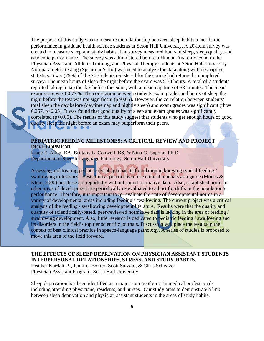The purpose of this study was to measure the relationship between sleep habits to academic performance in graduate health science students at Seton Hall University. A 20-item survey was created to measure sleep and study habits. The survey measured hours of sleep, sleep quality, and academic performance. The survey was administered before a Human Anatomy exam to the Physician Assistant, Athletic Training, and Physical Therapy students at Seton Hall University. Non-parametric testing (Spearman's rho) was used to analyze the data along with descriptive statistics. Sixty (79%) of the 76 students registered for the course had returned a completed survey. The mean hours of sleep the night before the exam was 5.78 hours. A total of 7 students reported taking a nap the day before the exam, with a mean nap time of 58 minutes. The mean exam score was 80.77%. The correlation between students exam grades and hours of sleep the night before the test was not significant (p>0.05). However, the correlation between students' total sleep the day before (daytime nap and nightly sleep) and exam grades was significant (rho=  $0.257$ ,  $p<0.05$ ). It was found that good quality of sleep and exam grades was significantly correlated ( $p<0.05$ ). The results of this study suggest that students who get enough hours of good quality sleep the night before an exam may outperform their peers.

## **PEDIATRIC FEEDING MILESTONES: A CRITICAL REVIEW AND PROJECT DEVELOPMENT**

Liane E. Allen, BA, Brittany L. Conwell, BS, & Nina C. Capone, Ph.D. Department of Speech-Language Pathology, Seton Hall University

Assessing and treating pediatric dysphagia has its foundation in knowing typical feeding / swallowing milestones. Best clinical practice is to use clinical manuals as a guide (Morris & Klein, 2000) but these are reportedly without sound normative data. Also, established norms in other areas of development are periodically re-evaluated to adjust for drifts in the population's performance. Therefore, it is important to re- evaluate the state of developmental norms in a variety of developmental areas including feeding / swallowing. The current project was a critical analysis of the feeding / swallowing development literature. Results were that the quality and quantity of scientifically-based, peer-reviewed normative data is lacking in the area of feeding / swallowing development. Also, little research is dedicated to pediatric feeding / swallowing and its disorders in the field's top tier scientific journals. Discussion will place the results in the context of best clinical practice in speech-language pathology. A series of studies is proposed to move this area of the field forward.

## **THE EFFECTS OF SLEEP DEPRIVATION ON PHYSICIAN ASSISTANT STUDENTS INTERPERSONAL RELATIONSHIPS, STRESS, AND STUDY HABITS.**

Heather Kurdali-PI, Jennifer Boxter, Scott Salvato, & Chris Schwizer Physician Assistant Program, Seton Hall University

Sleep deprivation has been identified as a major source of error in medical professionals, including attending physicians, residents, and nurses. Our study aims to demonstrate a link between sleep deprivation and physician assistant students in the areas of study habits,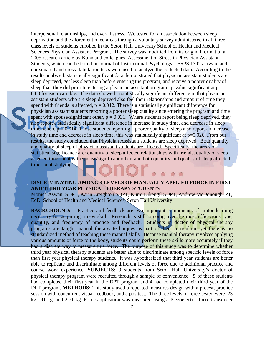interpersonal relationships, and overall stress. We tested for an association between sleep deprivation and the aforementioned areas through a voluntary survey administered to all three class levels of students enrolled in the Seton Hall University School of Health and Medical Sciences Physician Assistant Program. The survey was modified from its original format of a 2005 research article by Kuhn and colleagues, Assessment of Stress in Physician Assistant Students, which can be found in Journal of Instructional Psychology. SSPS 17.0 software and chi-squared and cross- tabulation tests were used to analyze the collected data. According to the results analyzed, statistically significant data demonstrated that physician assistant students are sleep deprived, get less sleep than before entering the program, and receive a poorer quality of sleep than they did prior to entering a physician assistant program, p-value significant at  $p =$ 0.00 for each variable. The data showed a statistically significant difference in that physician assistant students who are sleep deprived also feel their relationships and amount of time they spend with friends is affected,  $p = 0.012$ . There is a statistically significant difference for physician assistant students reporting a poorer sleep quality since entering the program and time spent with spouse/significant other,  $p = 0.031$ . Where students report being sleep deprived, they also report a statistically significant difference in increase in study time, and decrease in sleep time, where  $p = 0.014$ . Those students reporting a poorer quality of sleep also report an increase in study time and decrease in sleep time, this was statistically significant at  $p=0.026$ . From our results, the study concluded that Physician Assistant students are sleep deprived. Both quantity and quality of sleep of physician assistant students are affected. Specifically, the areas of statistical significance are: quantity of sleep affected relationships with friends, quality of sleep affected time spent with spouse/significant other, and both quantity and quality of sleep affected time spent studying.

## **DISCRIMINATING AMONG 3 LEVELS OF MANUALLY APPLIED FORCE IN FIRST AND THIRD YEAR PHYSICAL THERAPY STUDENTS**

Monica Aswani SDPT, Karin Creighton SDPT, Kumi Dikengil SDPT, Andrew McDonough, PT, EdD, School of Health and Medical Sciences, Seton Hall University

**BACKGROUND:** Practice and feedback are two important components of motor learning necessary for acquiring a new skill. Research is still ongoing over the most efficacious type, quantity, and frequency of practice and feedback. Students in doctor of physical therapy programs are taught manual therapy techniques as part of their curriculum, yet there is no standardized method of teaching these manual skills. Because manual therapy involves applying various amounts of force to the body, students could perform these skills more accurately if they had a discrete way to measure this force. The purpose of this study was to determine whether third year physical therapy students are better able to discriminate among specific levels of force than first year physical therapy students. It was hypothesized that third year students are better able to replicate and discriminate among different levels of force due to additional practice and course work experience. **SUBJECTS:** 9 students from Seton Hall University's doctor of physical therapy program were recruited through a sample of convenience. 5 of these students had completed their first year in the DPT program and 4 had completed their third year of the DPT program. **METHODS:** This study used a repeated measures design with a pretest, practice session with concurrent visual feedback, and a posttest. The three levels of force tested were .23 kg, .91 kg, and 2.71 kg. Force application was measured using a Piezoelectric force transducer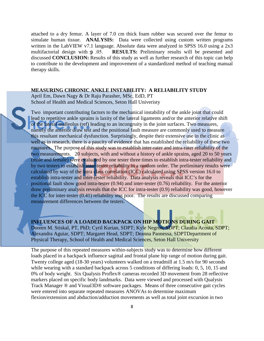attached to a dry femur. A layer of 7.0 cm thick foam rubber was secured over the femur to simulate human tissue. **ANALYSIS:** Data were collected using custom written programs written in the LabVIEW v7.1 language. Absolute data were analyzed in SPSS 16.0 using a 2x3 multifactorial design with  $\Phi$  .05. **RESULTS:** Preliminary results will be presented and discussed **CONCLUSION:** Results of this study as well as further research of this topic can help to contribute to the development and improvement of a standardized method of teaching manual therapy skills.

### **MEASURING CHRONIC ANKLE INSTABILITY: A RELIABILITY STUDY**

April Em, Dawn Nagy & Dr Raju Parasher, MSc, EdD, PT School of Health and Medical Sciences, Seton Hall Univeristy

Two important contributing factors to the mechanical instability of the ankle joint that could lead to repetitive ankle sprains is laxity of the lateral ligaments and/or the anterior relative shift of the lateral malleolus (ref) leading to an incongruity in the joint surfaces. Two measures, namely the anterior draw test and the positional fault measure are commonly used to measure this resultant mechanical dysfunction. Surprisingly, despite their extensive use in the clinic as well as in research, there is a paucity of evidence that has established the reliability of these two measures. The purpose of this study was to establish inter-rater and intra-rater reliability of the two measurements. 20 subjects, with and without a history of ankle sprains, aged 20 to 50 years (male and female) were evaluated by one tester three times to establish intra-tester reliability and by two testers to establish inter-tester reliability in a random order. The preliminary results were calculated by way of the intra class correlation (ICC) calculated using SPSS version 16.0 to establish intra-tester and inter-tester reliability. Data analysis reveals that ICC's for the positional fault show good intra-tester (0.94) and inter-tester (0.76) reliability. For the anterior draw preliminary analysis reveals that the ICC for intra-tester (0.9) reliability was good, however the ICC for inter-tester (0.41) reliability was poor. The results are discussed comparing measurement differences between the testers.

# **INFLUENCES OF A LOADED BACKPACK ON HIP MOTIONS DURING GAIT**

Doreen M. Stiskal, PT, PhD; Cyril Kurian, SDPT; Kyle Negron, SDPT; Claudia Acosta, SDPT; Alexandra Aguiar, SDPT; Margaret Head, SDPT; Deanna Paonessa, SDPTDepartment of Physical Therapy, School of Health and Medical Sciences, Seton Hall University

The purpose of this repeated measures within-subjects study was to determine how different loads placed in a backpack influence sagittal and frontal plane hip range of motion during gait. Twenty college aged (18-30 years) volunteers walked on a treadmill at 1.5 m/s for 90 seconds while wearing with a standard backpack across 5 conditions of differing loads: 0, 5, 10, 15 and 0% of body weight. Six Qualysis Proflex® cameras recorded 3D movement from 28 reflective markers placed on specific body landmarks. Data were viewed and processed with Qualysis Track Manager ® and Visual3D® software packages. Means of three consecutive gait cycles were entered into separate repeated measures ANOVAs to determine maximum flexion/extension and abduction/adduction movements as well as total joint excursion in two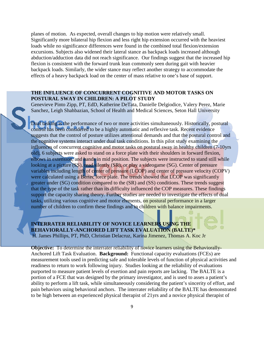planes of motion. As expected, overall changes to hip motion were relatively small. Significantly more bilateral hip flexion and less right hip extension occurred with the heaviest loads while no significance differences were found in the combined total flexion/extension excursions. Subjects also widened their lateral stance as backpack loads increased although abduction/adduction data did not reach significance. Our findings suggest that the increased hip flexion is consistent with the forward trunk lean commonly seen during gait with heavier backpack loads. Similarly, the wider stance may reflect another strategy to accommodate the effects of a heavy backpack load on the center of mass relative to one's base of support.

## **THE INFLUENCE OF CONCURRENT COGNITIVE AND MOTOR TASKS ON POSTURAL SWAY IN CHILDREN: A PILOT STUDY**

Genevieve Pinto Zipp, PT, EdD, Katherine DeTata, Danielle Delgiodice, Valery Perez, Marie Sanchez, Leigh Shahbazian, School of Health and Medical Sciences, Seton Hall University

Dual tasking is the performance of two or more activities simultaneously. Historically, postural control has been considered to be a highly automatic and reflexive task. Recent evidence suggests that the control of posture utilizes attentional demands and that the postural control and the cognitive systems interact under dual task conditions. In this pilot study examining the influences of concurrent cognitive and motor tasks on postural sway in healthy children (7-10yrs old), 6 subjects were asked to stand on a force plate with their shoulders in forward flexion, elbows in extension, and hands in mid position. The subjects were instructed to stand still while looking at a picture (SS), read silently (SR), or play a videogame (SG). Center of pressure variables including length of center of pressure (LCOP) and center of pressure velocity (COPV) were calculated using a Bertec force plate. The trends showed that LCOP was significantly greater under (SG) condition compared to the (SR) and (SS) conditions. These trends suggest that the type of the task rather than its difficulty influenced the COP measures. These findings support the capacity sharing theory. Further studies are needed to investigate the effects of dual tasks, utilizing various cognitive and motor elements, on postural performance in a larger number of children to confirm these findings and in children with balance impairments.

**INTERRATER RELIABILITY OF NOVICE LEARNERS USING THE BEHAVIORALLY-ANCHORED LIFT TASK EVALUATION (BALTE)\*** H. James Phillips, PT, PhD, Christian Delacruz, Karina Jimenez, Thomas A. Koc Jr

**Objective:** To determine the interrater reliability of novice learners using the Behaviorally-Anchored Lift Task Evaluation. **Background:** Functional capacity evaluations (FCEs) are measurement tools used in predicting safe and tolerable levels of function of physical activities and readiness to return to work following injury. Studies looking at the reliability of evaluations purported to measure patient levels of exertion and pain reports are lacking. The BALTE is a portion of a FCE that was designed by the primary investigator, and is used to asses a patient's ability to perform a lift task, while simultaneously considering the patient's sincerity of effort, and pain behaviors using behavioral anchors. The interrater reliability of the BALTE has demonstrated to be high between an experienced physical therapist of 21yrs and a novice physical therapist of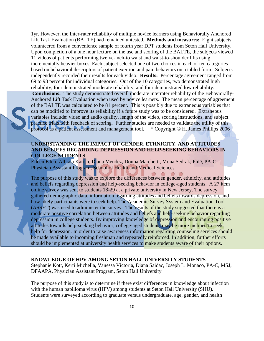1yr. However, the Inter-rater reliability of multiple novice learners using Behaviorally Anchored Lift Task Evaluation (BALTE) had remained untested. **Methods and measures:** Eight subjects volunteered from a convenience sample of fourth year DPT students from Seton Hall University. Upon completion of a one hour lecture on the use and scoring of the BALTE, the subjects viewed 11 videos of patients performing twelve-inch-to waist and waist-to-shoulder lifts using incrementally heavier boxes. Each subject selected one of two choices in each of ten categories based on behavioral descriptors of patient exertion and pain behaviors on a tabled form. Subjects independently recorded their results for each video. **Results:** Percentage agreement ranged from 69 to 98 percent for individual categories. Out of the 10 categories, two demonstrated high reliability, four demonstrated moderate reliability, and four demonstrated low reliability. **Conclusions:** The study demonstrated overall moderate interrater reliability of the Behaviorally-Anchored Lift Task Evaluation when used by novice learners. The mean percentage of agreement

of the BALTE was calculated to be 81 percent. This is possibly due to extraneous variables that can be modified to improve its reliability if a future study was to be considered. Extraneous variables include: video and audio quality, length of the video, scoring instructions, and subject practice trials with feedback of scoring. Further studies are needed to validate the utility of this protocol as a patient assessment and management tool. \* Copyright © H. James Phillips 2006

## **UNDERSTANDING THE IMPACT OF GENDER, ETHNICITY, AND ATTITUDES AND BELIEFS REGARDING DEPRESSION AND HELP-SEEKING BEHAVIORS IN COLLEGE STUDENTS**

Eileen Eden, Allison Karish, Diana Mendez, Donna Marchetti, Mona Sedrak, PhD, PA-C Physician Assistant Program, School of Health and Medical Sciences

The purpose of this study was to explore the differences between gender, ethnicity, and attitudes and beliefs regarding depression and help-seeking behavior in college-aged students. A 27 item online survey was sent to students 18-29 at a private university in New Jersey. The survey gathered demographic data, information regarding attitudes and beliefs towards depression, and how likely participants were to seek help. The Academic Survey System and Evaluation Tool (ASSET) was used to administer the survey. The results of the study suggested that there is a moderate positive correlation between attitudes and beliefs and help-seeking behavior regarding depression in college students. By improving knowledge of depression and encouraging positive attitudes towards help-seeking behavior, college-aged students may be more inclined to seek help for depression. In order to raise awareness information regarding counseling services should be made available to incoming freshman and repeatedly reinforced. In addition, further efforts should be implemented at university health services to make students aware of their options.

#### **KNOWLEDGE OF HPV AMONG SETON HALL UNIVERSITY STUDENTS**

Stephanie Kott, Kerri Michella, Vanessa Victoria, Diana Saidac, Joseph L. Monaco, PA-C, MSJ, DFAAPA, Physician Assistant Program, Seton Hall University

The purpose of this study is to determine if there exist differences in knowledge about infection with the human papilloma virus (HPV) among students at Seton Hall University (SHU). Students were surveyed according to graduate versus undergraduate, age, gender, and health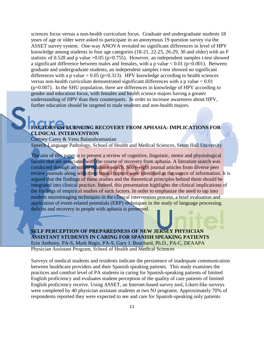sciences focus versus a non-health curriculum focus. Graduate and undergraduate students 18 years of age or older were asked to participate in an anonymous 19 question survey via the ASSET survey system. One-way ANOVA revealed no significant differences in level of HPV knowledge among students in four age categories (18-21, 22-25, 26-29, 30 and older) with an F statistic of 0.528 and p value  $>0.05$  (p=0.755). However, an independent samples t-test showed a significant difference between males and females, with a p value  $< 0.01$  (p=0.001). Between graduate and undergraduate students, an independent samples t-test showed no significant differences with a p value  $> 0.05$  (p=0.313). HPV knowledge according to health sciences versus non-health curriculum demonstrated significant differences with a p value < 0.01 (p=0.007). In the SHU population, there are differences in knowledge of HPV according to gender and education focus, with females and health science majors having a greater understanding of HPV than their counterparts. In order to increase awareness about HPV, further education should be targeted to male students and non-health majors.

# **FACTORS INFLUENCING RECOVERY FROM APHASIA: IMPLICATIONS FOR CLINICAL INTERVENTION**

Cortney Carey & Venu Balasubramanian

Speech-Language Pathology, School of Health and Medical Sciences, Seton Hall University

The aim of this paper is to present a review of cognitive, linguistic, motor and physiological factors that are associated with the course of recovery from aphasia. A literature search was conducted through an online database search. Sixty-eight journal articles from diverse peer review journals along with three book chapters were identified as the source of information. It is argued that the findings of these studies and the theoretical principles behind them should be integrated into clinical practice. Indeed, this presentation highlights the clinical implications of the findings of empirical studies of such factors. In order to emphasize the need to tap into modern neuroimaging techniques in the clinical intervention process, a brief evaluation and application of event-related potentials (ERP) techniques in the study of language processing deficits and recovery in people with aphasia is presented.

**SELF PERCEPTION OF PREPAREDNESS OF NEW JERSEY PHYSICIAN ASSISTANT STUDENTS IN CARING FOR SPANISH SPEAKING PATIENTS** Erin Anthony, PA-S, Mark Regis, PA-S, Gary J. Bouchard, Ph.D., PA-C, DFAAPA Physician Assistant Program, School of Health and Medical Sciences

Surveys of medical students and residents indicate the persistence of inadequate communication between healthcare providers and their Spanish speaking patients. This study examines the practices and comfort level of PA students in caring for Spanish-speaking patients of limited English proficiency and evaluates student perception of the quality of care patients of limited English proficiency receive. Using ASSET, an Internet-based survey tool, Likert-like surveys were completed by 40 physician assistant students at two NJ programs. Approximately 70% of respondents reported they were expected to see and care for Spanish-speaking only patients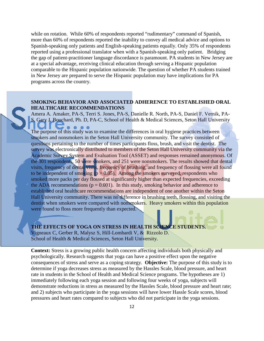while on rotation. While 60% of respondents reported "rudimentary" command of Spanish, more than 60% of respondents reported the inability to convey all medical advice and options to Spanish-speaking only patients and English-speaking patients equally. Only 35% of respondents reported using a professional translator when with a Spanish-speaking only patient. Bridging the gap of patient-practitioner language discordance is paramount. PA students in New Jersey are at a special advantage, receiving clinical education through serving a Hispanic population comparable to the Hispanic population nationwide. The question of whether PA students trained in New Jersey are prepared to serve the Hispanic population may have implications for PA programs across the country.

# **SMOKING BEHAVIOR AND ASSOCIATED ADHERENCE TO ESTABLISHED ORAL HEALTHCARE RECOMMENDATIONS**

Amera A. Amaker, PA-S, Terri S. Jones, PA-S, Danielle R. North, PA-S, Daniel F. Vernik, PA-S, Gary J. Bouchard, Ph. D, PA-C, School of Health & Medical Sciences, Seton Hall University

The purpose of this study was to examine the differences in oral hygiene practices between smokers and nonsmokers in the Seton Hall University community. The survey consisted of questions pertaining to the number of times participants floss, brush, and visit the dentist. The survey was electronically distributed to members of the Seton Hall University community via the Academic Survey System and Evaluation Tool (ASSET) and responses remained anonymous. Of the 301 respondents, 50 were smokers, and 251 were nonsmokers. The results showed that dental visits, frequency of dental visits, frequency of brushing, and frequency of flossing were all found to be independent of smoking ( $p > 0.05$ ). Among the smokers surveyed, respondents who smoked more packs per day flossed at significantly higher than expected frequencies, exceeding the ADA recommendations ( $p = 0.001$ ). In this study, smoking behavior and adherence to established oral healthcare recommendations are independent of one another within the Seton Hall University community. There was no difference in brushing teeth, flossing, and visiting the dentist when smokers were compared with nonsmokers. Heavy smokers within this population were found to floss more frequently than expected.

**THE EFFECTS OF YOGA ON STRESS IN HEALTH SCIENCE STUDENTS.** Vigneaux C, Gerber R, Malysz S, Hill-Lombardi V, & Rizzolo D. School of Health & Medical Sciences, Seton Hall University.

**Context:** Stress is a growing public health concern affecting individuals both physically and psychologically. Research suggests that yoga can have a positive effect upon the negative consequences of stress and serve as a coping strategy. **Objective:** The purpose of this study is to determine if yoga decreases stress as measured by the Hassles Scale, blood pressure, and heart rate in students in the School of Health and Medical Science programs. The hypotheses are 1) immediately following each yoga session and following four weeks of yoga, subjects will demonstrate reductions in stress as measured by the Hassles Scale, blood pressure and heart rate; and 2) subjects who participate in the yoga sessions will have lower Hassle Scale scores, blood pressures and heart rates compared to subjects who did not participate in the yoga sessions.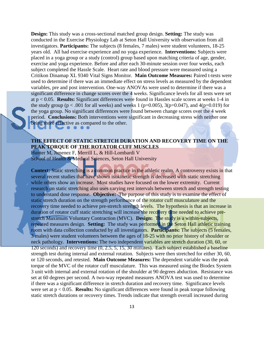**Design:** This study was a cross-sectional matched group design. **Setting:** The study was conducted in the Exercise Physiology Lab at Seton Hall University with observation from all investigators. **Participants:** The subjects (8 females, 7 males) were student volunteers, 18-25 years old. All had exercise experience and no yoga experience. **Interventions:** Subjects were placed in a yoga group or a study (control) group based upon matching criteria of age, gender, exercise and yoga experience. Before and after each 30-minute session over four weeks, each subject completed the Hassle Scale. Heart rate and blood pressure were measured using a Critikon Dinamap XL 9340 Vital Signs Monitor. **Main Outcome Measures:** Paired t-tests were used to determine if there was an immediate effect on stress levels as measured by the dependent variables, pre and post intervention. One-way ANOVAs were used to determine if there was a significant difference in change scores over the 4 weeks. Significance levels for all tests were set at p < 0.05. **Results:** Significant differences were found in Hassles scale scores at weeks 1-4 in the study group ( $p < .001$  for all weeks) and weeks 1 ( $p=0.005$ ), 3( $p=0.047$ ), and 4( $p=0.019$ ) for the yoga group. No significant differences were found between change scores over the 4 week period. **Conclusions:** Both interventions were significant in decreasing stress with neither one being more effective as compared to the other.

# **THE EFFECT OF STATIC STRETCH DURATION AND RECOVERY TIME ON THE PEAK TORQUE OF THE ROTATOR CUFF MUSCLES**

Hunter M, Jimenez F, Merrill L, & Hill-Lombardi V School of Health & Medical Sciences, Seton Hall University

**Context:** Static stretching is a common practice in the athletic realm. A controversy exists in that several recent studies that have shown isokinetic strength is decreased with static stretching while others show an increase. Most studies have focused on the lower extremity. Current research on static stretching also uses varying rest intervals between stretch and strength testing to understand dose response. **Objective:** The purpose of this study is to examine the effect of static stretch duration on the strength performance of the rotator cuff musculature and the recovery time needed to achieve pre-stretch strength levels. The hypothesis is that an increase in duration of rotator cuff static stretching will increase the recovery time needed to achieve prestretch Maximum Voluntary Contraction (MVC). **Design:** The study is a within-subjects, repeated measures design. **Setting:** The study was performed in the Seton Hall athletic training room with data collection conducted by all investigators. **Participants:** The subjects (5 females, 3 males) were student volunteers between the ages of 18-25 with no prior history of shoulder or neck pathology. **Interventions:** The two independent variables are stretch duration (30, 60, or 120 seconds) and recovery time (0, 2.5, 5, 15, 30 minutes). Each subject established a baseline strength test during internal and external rotation. Subjects were then stretched for either 30, 60, or 120 seconds, and retested. **Main Outcome Measures:** The dependent variable was the peak torque of the MVC of the rotator cuff musculature. This was measured using the Biodex System 3 unit with internal and external rotation of the shoulder at 90 degrees abduction. Resistance was set at 60 degrees per second. A two-way repeated measures ANOVA test was used to determine if there was a significant difference in stretch duration and recovery time. Significance levels were set at p < 0.05. **Results:** No significant differences were found in peak torque following static stretch durations or recovery times. Trends indicate that strength overall increased during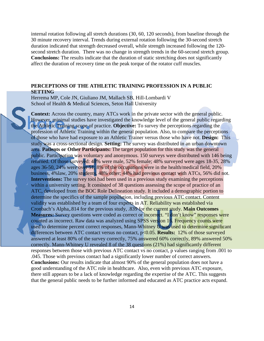internal rotation following all stretch durations (30, 60, 120 seconds), from baseline through the 30 minute recovery interval. Trends during external rotation following the 30-second stretch duration indicated that strength decreased overall, while strength increased following the 120 second stretch duration. There was no change in strength trends in the 60-second stretch group. **Conclusions:** The results indicate that the duration of static stretching does not significantly affect the duration of recovery time on the peak torque of the rotator cuff muscles.

#### **PERCEPTIONS OF THE ATHLETIC TRAINING PROFESSION IN A PUBLIC SETTING**

Herrema MP, Cole JN, Giuliano JM, Mallach SB, Hill-Lombardi V School of Health & Medical Sciences, Seton Hall University

**Context:** Across the country, many ATCs work in the private sector with the general public. However, minimal studies have investigated the knowledge level of the general public regarding the Athletic Training scope of practice. **Objective:** To survey the perceptions regarding the profession of Athletic Training within the general population. Also, to compare the perceptions of those who have had exposure to an Athletic Trainer versus those who have not. **Design:** This study was a cross-sectional design. **Setting:** The survey was distributed in an urban downtown area. **Patients or Other Participants:** The target population for this study was the general public. Participation was voluntary and anonymous. 150 surveys were distributed with 146 being returned. Of those surveyed: 48% were male, 52% female; 48% surveyed were ages 18-35, 28% ages 36-50, 24% were over 51; 8% of the occupations were in the health/medical field, 20% business, 4%law, 20% students, 48% other; 44% had previous contact with ATCs, 56% did not. **Interventions:** The survey tool had been used in a previous study examining the perceptions within a university setting. It consisted of 38 questions assessing the scope of practice of an ATC, developed from the BOC Role Delineation study. It included a demographic portion to determine the specifics of the sample population, including previous ATC contact. Content validity was established by a team of four experts in AT. Reliability was established via Cronbach's Alpha,.814 for the previous study, .839 for the current study. **Main Outcomes Measures:** Survey questions were coded as correct or incorrect. "I don't know" responses were counted as incorrect. Raw data was analyzed using SPSS version 16. Frequency counts were used to determine percent correct responses, Mann-Whitney U was used to determine significant differences between ATC contact versus no contact, p<0.05. **Results:** 12% of those surveyed answered at least 80% of the survey correctly, 75% answered 60% correctly, 89% answered 50% correctly. Mann-Whitney U revealed 8 of the 38 questions (21%) had significantly different responses between those with previous ATC contact vs no contact, p values ranging from .001 to .045. Those with previous contact had a significantly lower number of correct answers. **Conclusions:** Our results indicate that almost 90% of the general population does not have a good understanding of the ATC role in healthcare. Also, even with previous ATC exposure, there still appears to be a lack of knowledge regarding the expertise of the ATC. This suggests that the general public needs to be further informed and educated as ATC practice acts expand.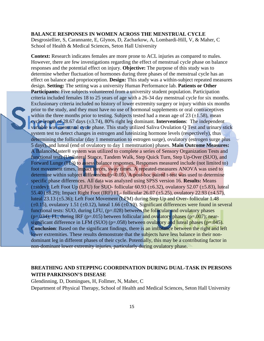#### **BALANCE RESPONSES IN WOMEN ACROSS THE MENSTRUAL CYCLE**

Desgrosiellier, S, Carannante, E, Glynos, D, Zacharkow, A, Lombardi-Hill, V, & Maher, C School of Health & Medical Sciences, Seton Hall University

**Context:** Research indicates females are more prone to ACL injuries as compared to males. However, there are few investigations regarding the effect of menstrual cycle phase on balance responses and the potential effect on injury. **Objective:** The purpose of this study was to determine whether fluctuation of hormones during three phases of the menstrual cycle has an effect on balance and proprioception. **Design:** This study was a within-subject repeated measures design. **Setting:** The setting was a university Human Performance lab. **Patients or Other Participants:** Five subjects volunteered from a university student population. Participation criteria included females 18 to 25 years of age with a 26-34 day menstrual cycle for six months. Exclusionary criteria included no history of lower extremity surgery or injury within six months prior to the study, and they must have no use of hormonal supplements or oral contraceptives within the three months prior to testing. Subjects tested had a mean age of 23  $(\pm 1.58)$ , mean cycle length of 28.67 days (±3.74), 80% right leg dominant. **Interventions**: The independent variable was menstrual cycle phase. This study utilized Saliva Ovulation Q Test and urinary stick system test to detect changes in estrogen and luternizing hormone levels (respectively), thus determining the follicular (day 1 menstruation to estrogen surge), ovulatory (estrogen surge plus 5 days), and luteal (end of ovulatory to day 1 menstruation) phases. **Main Outcome Measures:** A BalanceMaster® system was utilized to complete a series of Sensory Organization Tests and functional tests (Unilateral Stance, Tandem Walk, Step Quick Turn, Step Up-Over (SUO), and Forward Lunge (FL)) to assess balance responses. Responses measured include (not limited to) foot movement times, impact forces, sway times. A repeated-measures ANOVA was used to determine within subject differences ( $p<0.05$ ). A post-hoc paired t-test was used to determine specific phase differences. All data was analyzed using SPSS version 16. **Results:** Means ( $\pm$ stdev): Left Foot Up (LFU) for SUO- follicular 60.93 ( $\pm$ 6.32), ovulatory 52.07 ( $\pm$ 5.83), luteal 55.40 (±8.29); Impact Right Foot (IRF) FL- follicular 26.07 (±5.25), ovulatory 22.93 (±4.57), luteal 23.13 (±5.36); Left Foot Movement (LFM) during Step Up and Over- follicular 1.48 ( $\pm$ 0.15), ovulatory 1.51 ( $\pm$ 0.12), luteal 1.66 ( $\pm$ 0.19). Significant differences were found in several functional tests: SUO, during LFU,  $(p=.028)$  between the follicular and ovulatory phases  $(p=.034)$ ; FL, during IRF (p=.015) between follicular and ovulatory phases (p=.007); nearsignificant difference in LFM (SUO) ( $p=.058$ ) between ovulatory and luteal phases ( $p=.045$ ). **Conclusion**: Based on the significant findings, there is an imbalance between the right and left lower extremities. These results demonstrate that the subjects have less balance in their nondominant leg in different phases of their cycle. Potentially, this may be a contributing factor in non-dominant lower extremity injuries, particularly during ovulatory phase.

# **BREATHING AND STEPPING COORDINATION DURING DUAL-TASK IN PERSONS WITH PARKINSON'S DISEASE**

Glendinning, D, Domingues, H, Follmer, N, Maher, C Department of Physical Therapy, School of Health and Medical Sciences, Seton Hall University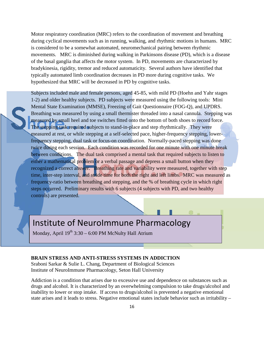Motor respiratory coordination (MRC) refers to the coordination of movement and breathing during cyclical movements such as in running, walking, and rhythmic motions in humans. MRC is considered to be a somewhat automated, neuromechanical pairing between rhythmic movements. MRC is diminished during walking in Parkinsons disease (PD), which is a disease of the basal ganglia that affects the motor system. In PD, movements are characterized by bradykinesia, rigidity, tremor and reduced automaticity. Several authors have identified that typically automated limb coordination decreases in PD more during cognitive tasks. We hypothesized that MRC will be decreased in PD by cognitive tasks.

Subjects included male and female persons, aged 45-85, with mild PD (Hoehn and Yahr stages 1-2) and older healthy subjects. PD subjects were measured using the following tools: Mini Mental State Examination (MMSE), Freezing of Gait Questionnaire (FOG-Q), and UPDRS. Breathing was measured by using a small thermister threaded into a nasal cannula. Stepping was measured by small heel and toe switches fitted onto the bottom of both shoes to record force. The stepping task required subjects to stand-in-place and step rhythmically. They were measured at rest, or while stepping at a self-selected pace, higher-frequency stepping, lowerfrequency stepping, dual task or focus-on coordination. Normally-paced stepping was done twice during each session. Each condition was recorded for one minute with one minute break between conditions. The dual task comprised a mental task that required subjects to listen to either a mathematical problem or a verbal passage and depress a small button when they recognized a correct answer. Breathing rate and variability were measured, together with step time, inter-step interval, and stride time for both the right and left limbs. MRC was measured as frequency-ratio between breathing and stepping, and the % of breathing cycle in which right steps occurred. Preliminary results with 6 subjects (4 subjects with PD, and two healthy controls) are presented.

# <span id="page-15-0"></span>Institute of NeuroImmune Pharmacology Institute of NeuroImmune Pharmacology

Monday, April 19<sup>th</sup> 3:30 – 6:00 PM McNulty Hall Atrium

#### **BRAIN STRESS AND ANTI-STRESS SYSTEMS IN ADDICTION**

Sraboni Sarkar & Sulie L. Chang, Department of Biological Sciences Institute of NeuroImmune Pharmacology, Seton Hall University

Addiction is a condition that arises due to excessive use and dependence on substances such as drugs and alcohol. It is characterized by an overwhelming compulsion to take drugs/alcohol and inability to lower or stop intake. If access to drugs/alcohol is prevented a negative emotional state arises and it leads to stress. Negative emotional states include behavior such as irritability –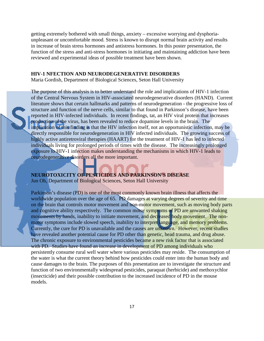getting extremely bothered with small things, anxiety – excessive worrying and dysphoriaunpleasant or uncomfortable mood. Stress is known to disrupt normal brain activity and results in increase of brain stress hormones and antistress hormones. In this poster presentation, the function of the stress and anti-stress hormones in initiating and maintaining addiction have been reviewed and experimental ideas of possible treatment have been shown.

### **HIV-1 NFECTION AND NEURODEGENERATIVE DISORDERS**

Maria Gordish, Department of Biological Sciences, Seton Hall University

The purpose of this analysis is to better understand the role and implications of HIV-1 infection of the Central Nervous System in HIV-associated neurodegenerative disorders (HAND). Current literature shows that certain hallmarks and patterns of neurodegeneration - the progressive loss of structure and function of the nerve cells, similar to that found in Parkinson's disease, have been reported in HIV-infected individuals. In recent findings, tat, an HIV viral protein that increases production of the virus, has been revealed to reduce dopamine levels in the brain. The implication of this finding is that the HIV infection itself, not an opportunistic infection, may be directly responsible for neurodegeneration in HIV infected individuals. The growing success of highly active antiretroviral therapies (HAART) for the treatment of HIV-1 has led to infected individuals living for prolonged periods of times with the disease. The increasingly prolonged exposure to HIV-1 infection makes understanding the mechanisms in which HIV-1 leads to neurodegenerative disorders all the more important.

**NEUROTOXICITY OF PESTICIDES AND PARKINSON'S DISEASE**

Jun Oh, Department of Biological Sciences, Seton Hall University

Parkinson's disease (PD) is one of the most commonly known brain illness that affects the worldwide population over the age of 65. PD damages at varying degrees of severity and time on the brain that controls motor movement and non-motor movement, such as moving body parts and cognitive ability respectively. The common motor symptoms of PD are unwanted shaking movements by hands, inability to initiate movement, and decreased body movement. The nonmotor symptoms include slowed speech, inability to interpret language, and memory problems. Currently, the cure for PD is unavailable and the causes are unknown. However, recent studies have revealed another potential cause for PD other than genetic, head trauma, and drug abuse. The chronic exposure to environmental pesticides became a new risk factor that is associated with PD. Studies have found an increase in development of PD among individuals who persistently consume rural well water where various pesticides may reside. The consumption of the water is what the current theory behind how pesticides could enter into the human body and cause damages to the brain. The purposes of this presentation are to investigate the structure and function of two environmentally widespread pesticides, paraquat (herbicide) and methoxychlor (insecticide) and their possible contribution to the increased incidence of PD in the mouse models.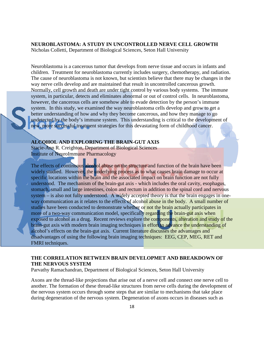#### **NEUROBLASTOMA: A STUDY IN UNCONTROLLED NERVE CELL GROWTH**

Nicholas Colletti, Department of Biological Sciences, Seton Hall University

Neuroblastoma is a cancerous tumor that develops from nerve tissue and occurs in infants and children. Treatment for neuroblastoma currently includes surgery, chemotherapy, and radiation. The cause of neuroblastoma is not known, but scientists believe that there may be changes in the way nerve cells develop and are maintained that result in uncontrolled cancerous growth. Normally, cell growth and death are under tight control by various body systems. The immune system, in particular, detects and eliminates abnormal or out of control cells. In neuroblastoma, however, the cancerous cells are somehow able to evade detection by the person's immune system. In this study, we examined the way neuroblastoma cells develop and grow to get a better understanding of how and why they become cancerous, and how they manage to go undetected by the body's immune system. This understanding is critical to the development of new, more successful treatment strategies for this devastating form of childhood cancer.

# **ALCOHOL AND EXPLORING THE BRAIN-GUT AXIS**

Stacie-Ann R. Creighton, Department of Biological Sciences Institute of NeuroImmune Pharmacology

The effects of continuous alcohol abuse on the structure and function of the brain have been widely studied. However, the underlying process as to what causes brain damage to occur at specific locations within the brain and the associated impact on brain function are not fully understood. The mechanism of the brain-gut axis - which includes the oral cavity, esophagus, stomach, small and large intestines, colon and rectum in addition to the spinal cord and nervous system – is also not fully understood. A widely accepted theory is that the brain engages in oneway communication as it relates to the effects of alcohol abuse in the body. A small number of studies have been conducted to demonstrate whether or not the brain actually participates in more of a two-way communication model, specifically regarding the brain-gut axis when exposed to alcohol as a drug. Recent reviews explore the components, alteration and study of the brain-gut axis with modern brain imaging techniques in effort to advance the understanding of alcohol's effects on the brain-gut axis. Current literature discusses the advantages and disadvantages of using the following brain imaging techniques: EEG, CEP, MEG, RET and FMRI techniques.

## **THE CORRELATION BETWEEN BRAIN DEVELOPMET AND BREAKDOWN OF THE NERVOUS SYSTEM**

Parvathy Ramachandran, Department of Biological Sciences, Seton Hall University

Axons are the thread-like projections that arise out of a nerve cell and connect one nerve cell to another. The formation of these thread-like structures from nerve cells during the development of the nervous system occurs through some steps that are similar to mechanisms that take place during degeneration of the nervous system. Degeneration of axons occurs in diseases such as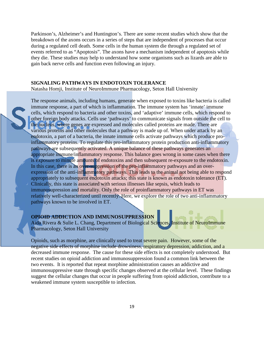Parkinson's, Alzheimer's and Huntington's. There are some recent studies which show that the breakdown of the axons occurs in a series of steps that are independent of processes that occur during a regulated cell death. Some cells in the human system die through a regulated set of events referred to as "Apoptosis". The axons have a mechanism independent of apoptosis while they die. These studies may help to understand how some organisms such as lizards are able to gain back nerve cells and function even following an injury.

#### **SIGNALING PATHWAYS IN ENDOTOXIN TOLERANCE**

Natasha Homji, Institute of NeuroImmune Pharmacology, Seton Hall University

The response animals, including humans, generate when exposed to toxins like bacteria is called immune response, a part of which is inflammation. The immune system has 'innate' immune cells, which respond to bacteria and other toxins, and 'adaptive' immune cells, which respond to other foreign body attacks. Cells use 'pathways' to communicate signals from outside the cell to the nucleus, where genes are expressed and molecules called proteins are made. There are various proteins and other molecules that a pathway is made up of. When under attack by an endotoxin, a part of a bacteria, the innate immune cells activate pathways which produce proinflammatory proteins. To regulate this pro-inflammatory protein production anti-inflammatory pathways are subsequently activated. A unique balance of these pathways generates an appropriate immune/inflammatory response. This balance goes wrong in some cases when there is exposure to minute amounts of endotoxins and then subsequent re-exposure to the endotoxin. In this case, there is an over-suppression of the pro-inflammatory pathways and an overexpression of the anti-inflammatory pathways. This leads to the animal not being able to respond appropriately to subsequent endotoxin attacks; this state is known as endotoxin tolerance (ET). Clinically, this state is associated with serious illnesses like sepsis, which leads to immunosupression and mortality. Only the role of proinflammatory pathways in ET was relatively well-characterized until recently. Here, we explore the role of two anti-inflammatory pathways known to be involved in ET.

## **OPIOID ADDICTION AND IMMUNOSUPPRESSION**

Aida Rivera & Sulie L. Chang, Department of Biological Sciences, Institute of NeuroImmune Pharmacology, Seton Hall University

Opioids, such as morphine, are clinically used to treat severe pain. However, some of the negative side effects of morphine include drowsiness, respiratory depression, addiction, and a decreased immune response. The cause for these side effects is not completely understood. But recent studies on opioid addiction and immunosuppression found a common link between the two events. It is reported that repeat morphine administration causes an addictive and immunosuppressive state through specific changes observed at the cellular level. These findings suggest the cellular changes that occur in people suffering from opioid addiction, contribute to a weakened immune system susceptible to infection.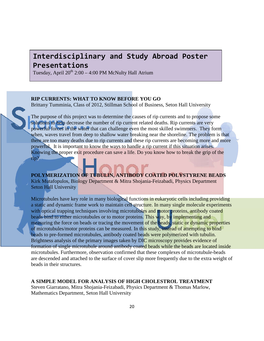# <span id="page-19-0"></span>**Interdisciplinary and Study Abroad Poster Interdisciplinary and Study Abroad Poster Presentations Presentations**

Tuesday, April  $20^{th}$   $2:00 - 4:00$  PM McNulty Hall Atrium

### **RIP CURRENTS: WHAT TO KNOW BEFORE YOU GO**

Brittany Tumminia, Class of 2012, Stillman School of Business, Seton Hall University

The purpose of this project was to determine the causes of rip currents and to propose some solutions to help decrease the number of rip current related deaths. Rip currents are very powerful forces in the water that can challenge even the most skilled swimmers. They form when, waves travel from deep to shallow water breaking near the shoreline. The problem is that there are too many deaths due to rip currents and these rip currents are becoming more and more powerful. It is important to know the ways to handle a rip current if this situation arises. Knowing the proper exit procedure can save a life. Do you know how to break the grip of the rip?

**POLYMERIZATION OF TUBULIN, ANTIBODY COATED POLYSTYRENE BEADS** Kirk Mutafopulos, Biology Department & Mitra Shojania-Feizabadi, Physics Department Seton Hall University

Microtubules have key role in many biological functions in eukaryotic cells including providing a static and dynamic frame work to maintain cell structure. In many single molecule experiments with optical trapping techniques involving microtubules and motor proteins, antibody coated beads bind to either microtubules or to motor proteins. This way, by implementing and measuring the force on beads or tracing the movement of the beads, static or dynamic properties of microtubules/motor proteins can be measured. In this study, instead of attempting to bind beads to pre-formed microtubules, antibody coated beads were polymerized with tubulin. Brightness analysis of the primary images taken by DIC microscopy provides evidence of formation of single microtubule around antibody coated beads while the beads are located inside microtubules. Furthermore, observation confirmed that these complexes of microtubule-beads are descended and attached to the surface of cover slip more frequently due to the extra weight of beads in their structures.

#### **A SIMPLE MODEL FOR ANALYSIS OF HIGH CHOLESTROL TREATMENT**

Steven Giarratano, Mitra Shojania-Feizabadi, Physics Department & Thomas Marlow, Mathematics Department, Seton Hall University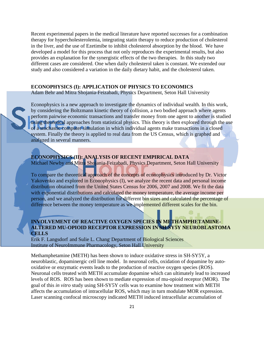Recent experimental papers in the medical literature have reported successes for a combination therapy for hypercholesterolemia, integrating statin therapy to reduce production of cholesterol in the liver, and the use of Ezetimibe to inhibit cholesterol absorption by the blood. We have developed a model for this process that not only reproduces the experimental results, but also provides an explanation for the synergistic effects of the two therapies. In this study two different cases are considered. One when daily cholesterol taken is constant. We extended our study and also considered a variation in the daily dietary habit, and the cholesterol taken.

#### **ECONOPHYSICS (I): APPLICATION OF PHYSICS TO ECONOMICS**

Adam Behr and Mitra Shojania-Feizabadi, Physics Department, Seton Hall University

Econophysics is a new approach to investigate the dynamics of individual wealth. In this work, by considering the Boltzmann kinetic theory of collision, a two bodied approach where agents perform pairwise economic transactions and transfer money from one agent to another is studied using theoretical approaches from statistical physics. This theory is then explored through the use of a stochastic computer simulation in which individual agents make transactions in a closed system. Finally the theory is applied to real data from the US Census, which is graphed and analyzed in several manners.

**ECONOPHYSICS (II): ANALYSIS OF RECENT EMPIRICAL DATA** Michael Newby and Mitra Shojania-Feizabadi, Physics Department, Seton Hall University

To compare the theoretical approach of the concepts of econophysics introduced by Dr. Victor Yakovenko and explored in Econophysics (I), we analyze the recent data and personal income distribution obtained from the United States Census for 2006, 2007 and 2008. We fit the data with exponential distributions and calculated the money temperature, the average income per person, and we analyzed the distribution for different bin sizes and calculated the percentage of difference between the money temperature as we implemented different scales for the bin.

## **INVOLVEMENT OF REACTIVE OXYGEN SPECIES IN METHAMPHETAMINE-ALTERED MU-OPIOID RECEPTOR EXPRESSION IN SH-SY5Y NEUROBLASTOMA CELLS**

Erik F. Langsdorf and Sulie L. Chang, Department of Biological Sciences Institute of NeuroImmune Pharmacology, Seton Hall University

Methamphetamine (METH) has been shown to induce oxidative stress in SH-SY5Y, a neuroblastic, dopaminergic cell line model. In neuronal cells, oxidation of dopamine by autooxidative or enzymatic events leads to the production of reactive oxygen species (ROS). Neuronal cells treated with METH accumulate dopamine which can ultimately lead to increased levels of ROS. ROS has been shown to mediate expression of mu-opioid receptor (MOR). The goal of this *in vitro* study using SH-SY5Y cells was to examine how treatment with METH affects the accumulation of intracellular ROS, which may in turn modulate MOR expression. Laser scanning confocal microscopy indicated METH induced intracellular accumulation of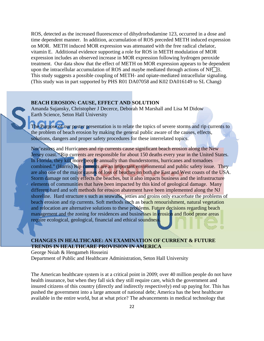ROS, detected as the increased fluorescence of dihydrorhodamine 123, occurred in a dose and time dependent manner. In addition, accumulation of ROS preceded METH induced expression on MOR. METH induced MOR expression was attenuated with the free radical chelator, vitamin E. Additional evidence supporting a role for ROS in METH modulation of MOR expression includes an observed increase in MOR expression following hydrogen peroxide treatment. Our data show that the effect of METH on MOR expression appears to be dependent upon the intracellular accumulation of ROS and maybe mediated through actions of  $NFT$  $B$ . This study suggests a possible coupling of METH- and opiate-mediated intracellular signaling. (This study was in part supported by PHS R01 DA07058 and K02 DA016149 to SL Chang)

## **BEACH EROSION: CAUSE, EFFECT AND SOLUTION**

Amanda Sujansky, Christopher J Decerce, Deborah M Marshall and Lisa M Didow Earth Science, Seton Hall University

The Purpose of our poster presentation is to relate the topics of severe storms and rip currents to the problem of beach erosion by making the general public aware of the causes, effects, solutions, dangers and proper safety procedures for these interrelated topics.

Nor'easters and Hurricanes and rip currents cause significant beach erosion along the New Jersey coast. "Rip currents are responsible for about 150 deaths every year in the United States. In Florida, they kill more people annually than thunderstorms, hurricanes and tornadoes combined." (Harris) Rip currents are an important environmental and public safety issue. They are also one of the major causes of loss of beaches on both the East and West coasts of the USA. Storm damage not only effects the beaches, but it also impacts business and the infrastructure elements of communities that have been impacted by this kind of geological damage. Many different hard and soft methods for erosion abatement have been implemented along the NJ shoreline. Hard structure s such as seawalls, jetties and groins only exacerbate the problems of beach erosion and rip currents. Soft methods such as beach renourishment, natural vegetation and relocation are alternative solutions to these problems. Future decisions regarding beach management and the zoning for residences and businesses in erosion and flood prone areas require ecological, geological, financial and ethical soundness.

## **CHANGES IN HEALTHCARE: AN EXAMINATION OF CURRENT & FUTURE TRENDS IN HEALTHCARE PROVISION IN AMERICA**

George Nsiah & Hengameh Hosseini

Department of Public and Healthcare Administration, Seton Hall University

The American healthcare system is at a critical point in 2009; over 40 million people do not have health insurance, but when they fall sick they still require care, which the government and insured citizens of this country (directly and indirectly respectively) end up paying for. This has pushed the government into a large amount of national debt; America has the best healthcare available in the entire world, but at what price? The advancements in medical technology that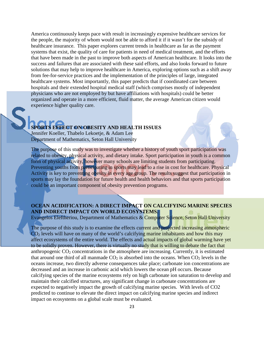America continuously keeps pace with result in increasingly expensive healthcare services for the people, the majority of whom would not be able to afford it if it wasn't for the subsidy of healthcare insurance. This paper explores current trends in healthcare as far as the payment systems that exist, the quality of care for patients in need of medical treatment, and the efforts that have been made in the past to improve both aspects of American healthcare. It looks into the success and failures that are associated with these said efforts, and also looks forward to future solutions that may help to improve healthcare in America, exploring options such as a shift away from fee-for-service practices and the implementation of the principles of large, integrated healthcare systems. Most importantly, this paper predicts that if coordinated care between hospitals and their extended hospital medical staff (which comprises mostly of independent physicians who are not employed by but have affiliations with hospitals) could be better organized and operate in a more efficient, fluid matter, the average American citizen would experience higher quality care.

## **SPORTS EFFECT ON OBESITY AND HEALTH ISSUES**

Jennifer Koeller, Thabelo Lekoetje, & Adam Lee Department of Mathematics, Seton Hall University

The purpose of this study was to investigate whether a history of youth sport participation was related to obesity, physical activity, and dietary intake. Sport participation in youth is a common form of physical activity, however many schools are limiting students from participating. Preventing youths from participating in sports may lead to a rise in cost for healthcare. Physical Activity is key to preventing obesity in every age group. The results suggest that participation in sports may lay the foundation for future health and health behaviors and that sports participation could be an important component of obesity prevention programs.

# **OCEAN ACIDIFICATION: A DIRECT IMPACT ON CALCIFYING MARINE SPECIES AND INDRECT IMPACT ON WORLD ECOSYSTEMS.**

Evangelos Eleftheriou, Department of Mathematics & Computer Science, Seton Hall University

The purpose of this study is to examine the effects current and projected increasing atmospheric  $CO<sub>2</sub>$  levels will have on many of the world's calcifying marine inhabitants and how this may affect ecosystems of the entire world. The effects and actual impacts of global warming have yet to be solidly proven. However, there is virtually no study that is willing to debate the fact that anthropogenic  $CO<sub>2</sub>$  concentrations in the atmosphere are increasing. Currently, it is estimated that around one third of all manmade  $CO<sub>2</sub>$  is absorbed into the oceans. When  $CO<sub>2</sub>$  levels in the oceans increase, two directly adverse consequences take place; carbonate ion concentrations are decreased and an increase in carbonic acid which lowers the ocean pH occurs. Because calcifying species of the marine ecosystems rely on high carbonate ion saturation to develop and maintain their calcified structures, any significant change in carbonate concentrations are expected to negatively impact the growth of calcifying marine species. With levels of CO2 predicted to continue to elevate the direct impact on calcifying marine species and indirect impact on ecosystems on a global scale must be evaluated.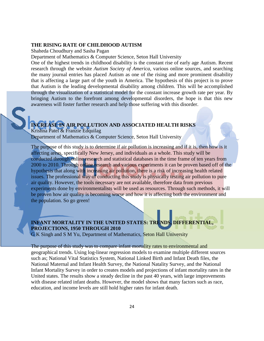## **THE RISING RATE OF CHILDHOOD AUTISM**

Shaheda Choudhury and Sasha Pagan

Department of Mathematics & Computer Science, Seton Hall University

One of the highest trends in childhood disability is the constant rise of early age Autism. Recent research through the website *Autism Society of America*, various online sources, and searching the many journal entries has placed Autism as one of the rising and more prominent disability that is affecting a large part of the youth in America. The hypothesis of this project is to prove that Autism is the leading developmental disability among children. This will be accomplished through the visualization of a statistical model for the constant increase growth rate per year. By bringing Autism to the forefront among developmental disorders, the hope is that this new awareness will foster further research and help those suffering with this disorder.

# **INCREASE IN AIR POLLUTION AND ASSOCIATED HEALTH RISKS**

Krishna Patel & Franzie Edquilag Department of Mathematics & Computer Science, Seton Hall University

The purpose of this study is to determine if air pollution is increasing and if it is, then how is it affecting areas, specifically New Jersey, and individuals as a whole. This study will be conducted through online research and statistical databases in the time frame of ten years from 2000 to 2010. Through online research and various experiments it can be proven based off of the hypothesis that along with increasing air pollution, there is a risk of increasing health related issues. The professional way of conducting this study is physically testing air pollution to pure air quality. However, the tools necessary are not available, therefore data from previous experiments done by environmentalists will be used as resources. Through such methods, it will be proven how air quality is becoming worse and how it is affecting both the environment and the population. So go green!

# **INFANT MORTALITY IN THE UNITED STATES: TRENDS, DIFFERENTIAL, PROJECTIONS, 1950 THROUGH 2010**

G K Singh and S M Yu, Department of Mathematics, Seton Hall University

The purpose of this study was to compare infant mortality rates to environmental and geographical trends. Using log-linear regression models to examine multiple different sources such as; National Vital Statistics System, National Linked Birth and Infant Death files, the National Maternal and Infant Health Survey, the National Natality Survey, and the National Infant Mortality Survey in order to creates models and projections of infant mortality rates in the United states. The results show a steady decline in the past 40 years, with large improvements with disease related infant deaths. However, the model shows that many factors such as race, education, and income levels are still hold higher rates for infant death.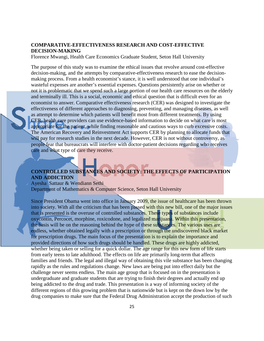### **COMPARATIVE-EFFECTIVENESS RESEARCH AND COST-EFFECTIVE DECISION-MAKING**

Florence Mwangi, Health Care Economics Graduate Student, Seton Hall University

The purpose of this study was to examine the ethical issues that revolve around cost-effective decision-making, and the attempts by comparative-effectiveness research to ease the decisionmaking process. From a health economist's stance, it is well understood that one individual's wasteful expenses are another's essential expenses. Questions persistently arise on whether or not it is problematic that we spend such a large portion of our health care resources on the elderly and terminally ill. This is a social, economic and ethical question that is difficult even for an economist to answer. Comparative effectiveness research (CER) was designed to investigate the effectiveness of different approaches to diagnosing, preventing, and managing diseases, as well as attempt to determine which patients will benefit most from different treatments. By using CER, health care providers can use evidence-based information to decide on what care is most appropriate for the patient, while finding reasonable and cautious ways to curb excessive costs. The American Recovery and Reinvestment Act supports CER by planning to allocate funds that will pay for research studies in the next decade. However, CER is not without controversy, as people fear that bureaucrats will interfere with doctor-patient decisions regarding who receives care and what type of care they receive.

# **CONTROLLED SUBSTANCES AND SOCIETY: THE EFFECTS OF PARTICIPATION AND ADDICTION**

Ayesha Sattaur & Wendiann Sethi Department of Mathematics & Computer Science, Seton Hall University

Since President Obama went into office in January 2009, the issue of healthcare has been thrown into society. With all the criticism that has been passed with this new bill, one of the major issues that is presented is the overuse of controlled substances. These types of substances include oxycontin, Percocet, morphine, roxicodone, and legalized marijuana. Within this presentation, the basis will be on the reasoning behind the hype of these substances. The various uses are endless, whether obtained legally with a prescription or through the undiscovered black market for prescription drugs. The main focus of the presentation is to explain the importance and provided directions of how such drugs should be handled. These drugs are highly addicted, whether being taken or selling for a quick dollar. The age range for this new form of life starts from early teens to late adulthood. The effects on life are primarily long-term that affects families and friends. The legal and illegal way of obtaining this vile substance has been changing rapidly as the rules and regulations change. New laws are being put into effect daily but the challenge never seems endless. The main age group that is focused on in the presentation is undergraduate and graduate students that are trying to finish their degrees and actually end up being addicted to the drug and trade. This presentation is a way of informing society of the different regions of this growing problem that is nationwide but is kept on the down low by the drug companies to make sure that the Federal Drug Administration accept the production of such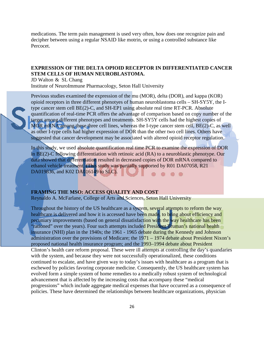medications. The term pain management is used very often, how does one recognize pain and decipher between using a regular NSAID like motrin, or using a controlled substance like Percocet.

## **EXPRESSION OF THE DELTA OPIOID RECEPTOR IN DIFFERENTIATED CANCER STEM CELLS OF HUMAN NEUROBLASTOMA.**

JD Walton & SL Chang Institute of NeuroImmune Pharmacology, Seton Hall University

Previous studies examined the expression of the mu (MOR), delta (DOR), and kappa (KOR) opioid receptors in three different phenotyes of human neuroblastoma cells – SH-SY5Y, the Itype cancer stem cell BE(2)-C, and SH-EP1 using absolute real time RT-PCR. Absolute quantification of real-time PCR offers the advantage of comparison based on copy number of the target among different phenotypes and treatments. SH-SY5Y cells had the highest copies of MOR mRNA among these three cell lines, whereas the I-type cancer stem cell, BE(2)-C, as well as other I-type cells had higher expression of DOR than the other two cell lines. Others have suggested that cancer development may be associated with altered opioid receptor regulation.

In this study, we used absolute quantification real time PCR to examine the expression of DOR in BE(2)-C following differentiation with retinoic acid (RA) to a neuroblastic phenotype. Our data showed that differentiation resulted in decreased copies of DOR mRNA compared to ethanol vehicle treatment. (This study was partially supported by R01 DA07058, R21 DA019836, and K02 DA016149 to SLC).

## **FRAMING THE MSO: ACCESS QUALITY AND COST**

Reynaldo A. McFarlane, College of Arts and Sciences, Seton Hall University

Throughout the history of the US healthcare as a system, several attempts to reform the way healthcare is delivered and how it is accessed have been made, to bring about efficiency and pecuniary improvements (based on general dissatisfaction with the way healthcare has been "rationed" over the years). Four such attempts included President Truman's national health insurance (NHI) plan in the 1940s; the 1961 - 1965 debate during the Kennedy and Johnson administration over the provisions of Medicare; the 1971 – 1974 debate about President Nixon's proposed national health insurance program; and the 1993–1994 debate about President Clinton's health care reform proposal. These were ill attempts at controlling the day's quandaries with the system, and because they were not successfully operationalized, these conditions continued to escalate, and have given way to today's issues with healthcare as a program that is eschewed by policies favoring corporate medicine. Consequently, the US healthcare system has evolved form a simple system of home remedies to a medically robust system of technological advancement that is affected by the increasing costs that accompany these "medical progressions" which include aggregate medical expenses that have occurred as a consequence of policies. These have determined the relationships between healthcare organizations, physician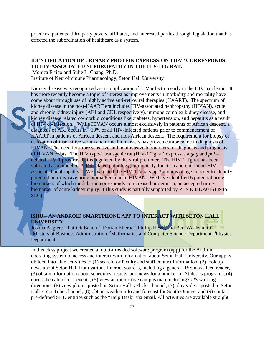practices, patients, third party payers, affiliates, and interested parties through legislation that has effected the subordination of healthcare as a system.

## **IDENTIFICATION OF URINARY PROTEIN EXPRESSION THAT CORRESPONDS TO HIV-ASSOCIATED NEPHROPATHY IN THE HIV-1TG RAT.**

Monica Errico and Sulie L. Chang, Ph.D.

Institute of NeuroImmune Pharmacology, Seton Hall University

Kidney disease was recognized as a complication of HIV infection early in the HIV pandemic. It has more recently become a topic of interest as improvements in morbidity and mortality have come about through use of highly active anti-retroviral therapies (HAART). The spectrum of kidney disease in the post-HAART era includes HIV-associated nephropathy (HIVAN), acute and chronic kidney injury (AKI and CKI, respectively), immune complex kidney disease, and kidney disease related co-morbid conditions like diabetes, hypertension, and hepatitis as a result of HIV co-infection. While HIVAN occurs almost exclusively in patients of African descent, a diagnosis of AKI occurs in ~10% of all HIV-infected patients prior to commencement of HAART in patients of African descent and non-African descent. The requirement for biopsy or utilization of insensitive serum and urine biomarkers has proven cumbersome in diagnosis of HIVAN. The need for more sensitive and noninvasive biomarkers for diagnosis and prognosis of HIVAN exists. The HIV type-1 transgenic rat (HIV-1 Tg rat) expresses a *gag* and *pol* – deleted HIV-1 provirus that is regulated by the viral promoter. The HIV-1 Tg rat has been validated as a model of AIDS related pathology, immune dysfunction and childhood HIVassociated nephropathy. We evaluated the HIV-1Tg rats up 3 months of age in order to identify potential non-invasive urine biomarkers due to HIVAN. We have identified 6 potential urine biomarkers of which modulation corresponds to increased proteinuria, an accepted urine biomarker of acute kidney injury. (This study is partially supported by PHS K02DA016149 to SLC).

# **iSHU – AN ANDROID SMARTPHONE APP TO INTERACT WITH SETON HALL UNIVERSITY**

Joshua Anglero<sup>1</sup>, Patrick Banom<sup>2</sup>, Dorian Ellerbe<sup>2</sup>, Phillip Hess<sup>3</sup>, and Bert Wachsmuth<sup>2</sup> <sup>1</sup>Masters of Business Administration, <sup>2</sup>Mathematics and Computer Science Department, <sup>3</sup>Physics Department

In this class project we created a multi-threaded software program (app) for the Android operating system to access and interact with information about Seton Hall University. Our app is divided into nine activities to (1) search for faculty and staff contact information, (2) look up news about Seton Hall from various Internet sources, including a general RSS news feed reader, (3) obtain information about schedules, results, and news for a number of Athletics programs, (4) check the calendar of events, (5) view an interactive campus map including GPS walking directions, (6) view photos posted on Seton Hall's Flickr channel, (7) play videos posted to Seton Hall's YouTube channel, (8) obtain weather info and forecast for South Orange, and (9) contact pre-defined SHU entities such as the "Help Desk" via email. All activities are available straight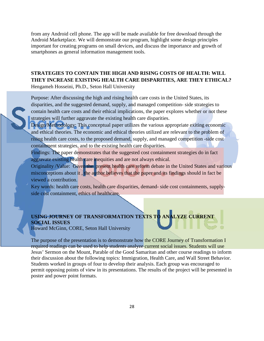from any Android cell phone. The app will be made available for free download through the Android Marketplace. We will demonstrate our program, highlight some design principles important for creating programs on small devices, and discuss the importance and growth of smartphones as general information management tools.

# **STRATEGIES TO CONTAIN THE HIGH AND RISING COSTS OF HEALTH: WILL THEY INCREASE EXISTING HEALTH CARE DISPARITIES, ARE THEY ETHICAL?**

Hengameh Hosseini, Ph.D., Seton Hall University

Purpose: After discussing the high and rising health care costs in the United States, its disparities, and the suggested demand, supply, and managed competition- side strategies to contain health care costs and their ethical implications, the paper explores whether or not these strategies will further aggravate the existing health care disparities.

Design/Methodology: This conceptual paper utilizes the various appropriate exiting economic and ethical theories. The economic and ethical theories utilized are relevant to the problem of rising health care costs, to the proposed demand, supply, and managed competition -side cost containment strategies, and to the existing health care disparities.

Findings: The paper demonstrates that the suggested cost containment strategies do in fact aggravate existing health care inequities and are not always ethical.

Originality /Value: Given the present health care reform debate in the United States and various misconceptions about it, the author believes that the paper and its findings should in fact be viewed a contribution.

Key words: health care costs, health care disparities, demand- side cost containments, supplyside cost containment, ethics of healthcare.

# **USING JOURNEY OF TRANSFORMATION TEXTS TO ANALYZE CURRENT SOCIAL ISSUES**

Howard McGinn, CORE, Seton Hall University

The purpose of the presentation is to demonstrate how the CORE Journey of Transformation I required readings can be used to help students analyze current social issues. Students will use Jesus' Sermon on the Mount, Parable of the Good Samaritan and other course readings to inform their discussion about the following topics: Immigration, Health Care, and Wall Street Behavior. Students worked in groups of four to develop their analysis. Each group was encouraged to permit opposing points of view in its presentations. The results of the project will be presented in poster and power point formats.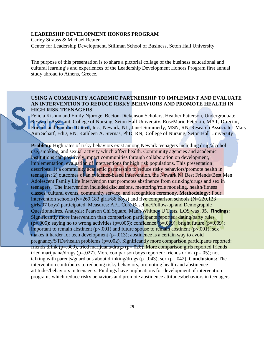## **LEADERSHIP DEVELOPMENT HONORS PROGRAM**

Carley Strauss & Michael Reuter Center for Leadership Development, Stillman School of Business, Seton Hall University

The purpose of this presentation is to share a pictorial collage of the business educational and cultural learning's and experiences of the Leadership Development Honors Program first annual study abroad to Athens, Greece.

## **USING A COMMUNITY ACADEMIC PARTNERSHIP TO IMPLEMENT AND EVALUATE AN INTERVENTION TO REDUCE RISKY BEHAVIORS AND PROMOTE HEALTH IN HIGH RISK TEENAGERS.**

Felicia Kishun and Emily Njoroge, Becton-Dickenson Scholars, Heather Patterson, Undergraduate Research Assistant, College of Nursing, Seton Hall University, RoseMarie Peterkin, MAT, Director, Friends and Families United, Inc., Newark, NJ., Janet Summerly, MSN, RN, Research Associate, Mary Ann Scharf, EdD, RN, Kathleen A. Sternas, PhD, RN, College of Nursing, Seton Hall University

**Problem:** High rates of risky behaviors exist among Newark teenagers including drug/alcohol use, smoking, and sexual activity which affect health. Community agencies and academic institutions can positively impact communities through collaboration on development, implementation, evaluation of interventions for high risk populations. This presentation describes: 1) a community academic partnership to reduce risky behaviors/promote health in teenagers; 2) outcomes of an evidence-based intervention, the Newark NJ Best Friends/Best Men Adolescent Family Life Intervention that promotes abstinence from drinking/drugs and sex in teenagers. The intervention included discussions, mentoring/role modeling, health/fitness classes, cultural events, community service, and recognition ceremony. **Methodology:** Four intervention schools (N=269,183 girls/86 boys) and five comparison schools (N=220,123 girls/97 boys) participated. Measures: AFL Core Baseline/Follow-up and Demographic Questionnaires. Analysis: Pearson Chi Square, Mann Whitney U Tests. LOS was .05. **Findings:** Significantly more intervention than comparison participants reported: dating/party rules ( $p=0.005$ ); saying no to wrong activities ( $p=.005$ ); confidence ( $p=.009$ ); bright future ( $p=.009$ ); important to remain abstinent ( $p<.001$ ) and future spouse to remain abstinent ( $p<.001$ ); sex makes it harder for teen development  $(p=.013)$ ; abstinence is a certain way to avoid pregnancy/STDs/health problems (p=.002). Significantly more comparison participants reported: friends drink ( $p=.009$ ), tried marijuana/drugs ( $p=.026$ ). More comparison girls reported friends tried marijuana/drugs (p=.027). More comparison boys reported: friends drink (p=.05); not talking with parents/guardians about drinking/drugs (p=.043), sex (p=.042). **Conclusions:** The intervention contributes to reducing risky behaviors, promoting health and abstinence attitudes/behaviors in teenagers. Findings have implications for development of intervention programs which reduce risky behaviors and promote abstinence attitudes/behaviors in teenagers.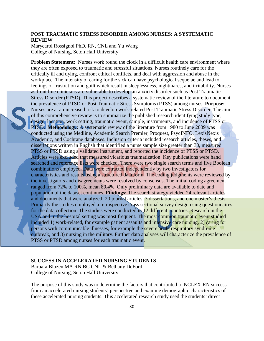## **POST TRAUMATIC STRESS DISORDER AMONG NURSES: A SYSTEMATIC REVIEW**

Marycarol Rossignol PhD, RN, CNL and Yu Wang College of Nursing, Seton Hall University

**Problem Statement:** Nurses work round the clock in a difficult health care environment where they are often exposed to traumatic and stressful situations. Nurses routinely care for the critically ill and dying, confront ethical conflicts, and deal with aggression and abuse in the workplace. The intensity of caring for the sick can have psychological sequelae and lead to feelings of frustration and guilt which result in sleeplessness, nightmares, and irritability. Nurses as front line clinicians are vulnerable to develop an anxiety disorder such as Post Traumatic Stress Disorder (PTSD). This project describes a systematic review of the literature to document the prevalence of PTSD or Post Traumatic Stress Symptoms (PTSS) among nurses. **Purpose:** Nurses are at an increased risk to develop work-related Post Traumatic Stress Disorder. The aim of this comprehensive review is to summarize the published research identifying study type, design, location, work setting, traumatic event, sample, instruments, and incidence of PTSS or PTSD. **Methodology:** A systematic review of the literature from 1980 to June 2009 was conducted using the Medline, Academic Search Premier, Proquest, PsycINFO, LexisNexis Academic, and Cochrane databases. Inclusion criteria included research articles, theses, and dissertations written in English that identified a nurse sample size greater than 30, measured PTSS or PTSD using a validated instrument, and reported the incidence of PTSS or PTSD. Articles were excluded that measured vicarious traumatization. Key publications were hand searched and reference lists were checked. There were two single search terms and five Boolean combinations employed. Data were extracted independently by two investigators for characteristics and results using a structured data form. The coding judgments were reviewed by the investigators and disagreements were resolved by consensus. The initial coding agreement ranged from 72% to 100%, mean 89.4%. Only preliminary data are available to date and population of the dataset continues. **Findings:** The search strategy yielded 24 relevant articles and documents that were analyzed: 20 journal articles, 3 dissertations, and one master's thesis. Primarily the studies employed a retrospective cross sectional survey design using questionnaires for the data collection. The studies were conducted in 12 different countries. Research in the USA and in the hospital setting was most frequent. The most common traumatic event studied included 1) work-related, for example patient assaults and intensive care nursing, 2) caring for persons with communicable illnesses, for example the severe acute respiratory syndrome outbreak, and 3) nursing in the military. Further data analyses will characterize the prevalence of PTSS or PTSD among nurses for each traumatic event.

### **SUCCESS IN ACCELERATED NURSING STUDENTS**

Barbara Blozen MA RN BC CNL & Bethany DeFord College of Nursing, Seton Hall University

The purpose of this study was to determine the factors that contributed to NCLEX-RN success from an accelerated nursing students' perspective and examine demographic characteristics of these accelerated nursing students. This accelerated research study used the students' direct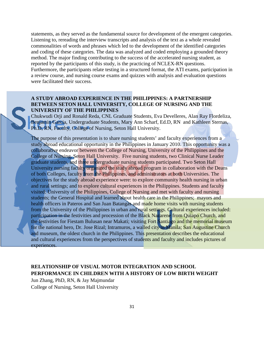statements, as they served as the fundamental source for development of the emergent categories. Listening to, rereading the interview transcripts and analysis of the text as a whole revealed commonalities of words and phrases which led to the development of the identified categories and coding of these categories. The data was analyzed and coded employing a grounded theory method. The major finding contributing to the success of the accelerated nursing student, as reported by the participants of this study, is the practicing of NCLEX-RN questions. Furthermore, the participants relate testing in a structured format, the ATI exams, participation in a review course, and nursing course exams and quizzes with analysis and evaluation questions were facilitated their success.

## **A STUDY ABROAD EXPERIENCE IN THE PHILIPPINES: A PARTNERSHIP BETWEEN SETON HALL UNIVERSITY, COLLEGE OF NURSING AND THE UNIVERSITY OF THE PHILIPPINES**

Chukwudi Orji and Ronald Reda, CNL Graduate Students, Eva Develleres, Alan Ray Flordeliza, Benjamin Garcia, Undergraduate Students, Mary Ann Scharf, Ed.D, RN and Kathleen Sternas, Ph.D, RN, Faculty, College of Nursing, Seton Hall University.

The purpose of this presentation is to share nursing students' and faculty experiences from a study abroad educational opportunity in the Philippines in January 2010. This opportunity was a collaborative endeavor between the College of Nursing, University of the Philippines and the College of Nursing, Seton Hall University. Five nursing students, two Clinical Nurse Leader graduate students, and three undergraduate nursing students participated. Two Seton Hall University nursing faculty organized the study abroad program in collaboration with the Deans of both Colleges, faculty from the Philippines, and administrators at both Universities. The objectives for the study abroad experience were: to explore community health nursing in urban and rural settings; and to explore cultural experiences in the Philippines. Students and faculty visited: University of the Philippines, College of Nursing and met with faculty and nursing students; the General Hospital and learned about health care in the Philippines; mayors and health officers in Pateros and San Juan Batangas and made home visits with nursing students from the University of the Philippines in urban and rural settings. Cultural experiences included: participation in the festivities and procession of the Black Nazarene from Quiapo Church, and the festivities for Fiestam Bulusan near Makati; visiting Fort Santiago and the memorial museum for the national hero, Dr. Jose Rizal; Intramuros, a walled city in Manila; San Augustine Church and museum, the oldest church in the Philippines. This presentation describes the educational and cultural experiences from the perspectives of students and faculty and includes pictures of experiences.

# **RELATIONSHIP OF VISUAL MOTOR INTEGRATION AND SCHOOL PERFORMANCE IN CHILDREN WITH A HISTORY OF LOW BIRTH WEIGHT**

Jun Zhang, PhD, RN, & Jay Majmundar College of Nursing, Seton Hall University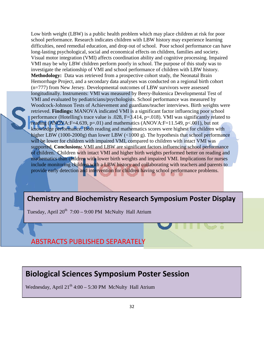Low birth weight (LBW) is a public health problem which may place children at risk for poor school performance. Research indicates children with LBW history may experience learning difficulties, need remedial education, and drop out of school. Poor school performance can have long-lasting psychological, social and economical effects on children, families and society. Visual motor integration (VMI) affects coordination ability and cognitive processing. Impaired VMI may be why LBW children perform poorly in school. The purpose of this study was to investigate the relationship of VMI and school performance of children with LBW history. **Methodology:** Data was retrieved from a prospective cohort study, the Neonatal Brain Hemorrhage Project, and a secondary data analyses was conducted on a regional birth cohort (n=777) from New Jersey. Developmental outcomes of LBW survivors were assessed longitudinally. Instruments: VMI was measured by Beery-Buktenica Developmental Test of VMI and evaluated by pediatricians/psychologists. School performance was measured by Woodcock-Johnson Tests of Achievement and guardians/teacher interviews. Birth weights were retrieved. **Findings:** MANOVA indicated VMI is a significant factor influencing poor school performance (Hotelling's trace value is .028, F=3.414, p=.018). VMI was significantly related to reading (ANOVA:F=4.639, p=.01) and mathematics (ANOVA:F=11.549, p<.001), but not knowledge performance. Both reading and mathematics scores were highest for children with higher LBW (1000-2000g) than lower LBW (<1000 g). The hypothesis that school performance will be lower for children with impaired VMI, compared to children with intact VMI was supported. **Conclusions:** VMI and LBW are significant factors influencing school performance of children. Children with intact VMI and higher birth weights performed better on reading and mathematics than children with lower birth weights and impaired VMI. Implications for nurses include monitoring children with a LBW history and collaborating with teachers and parents to provide early detection and intervention for children having school performance problems.

# <span id="page-31-0"></span>**Chemistry and Biochemistry Research Symposium Poster Chemistry and Biochemistry Research Symposium Poster Display**

Tuesday, April  $20^{th}$  7:00 – 9:00 PM McNulty Hall Atrium

ABSTRACTS PUBLISHED SEPARATELY

# <span id="page-31-1"></span>**Biological Sciences Symposium Poster Session Biological Sciences Symposium Poster Session**

Wednesday, April 21<sup>th</sup> 4:00 – 5:30 PM McNulty Hall Atrium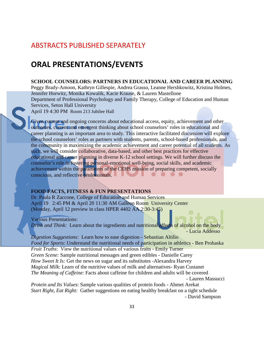# ABSTRACTS PUBLISHED SEPARATELY

# <span id="page-32-0"></span>**ORAL PRESENTATIONS/EVENTS**

## **SCHOOL COUNSELORS: PARTNERS IN EDUCATIONAL AND CAREER PLANNING**

Peggy Brady-Amoon, Kathryn Gillespie, Andrea Grasso, Leanne Hershkowitz, Kristina Holmes, Jennifer Horwitz, Monika Kowalik, Kacie Krause, & Lauren Mastellone Department of Professional Psychology and Family Therapy, College of Education and Human Services, Seton Hall University

April 19 4:30 PM Room 213 Jubilee Hall

Given current and ongoing concerns about educational access, equity, achievement and other outcomes, current and emergent thinking about school counselors' roles in educational and career planning is an important area to study. This interactive facilitated discussion will explore the school counselors' roles as partners with students, parents, school-based professionals, and the community in maximizing the academic achievement and career potential of all students. As such, we will consider collaborative, data-based, and other best practices for effective educational and career planning in diverse K-12 school settings. We will further discuss the counselor's role in fostering personal-emotional well-being, social skills, and academic achievement within the parameters of the CEHS mission of preparing competent, socially conscious, and reflective professionals.

#### <span id="page-32-1"></span>**FOOD FACTS, FITNESS & FUN PRESENTATIONS**

Dr. Paula R Zaccone, College of Education and Human Services April 192:45 PM & April 20 11:30 AM Galleon Room University Center (Monday, April 12 preview in class HPER 4402 AA 2:30-3:45)

Various Presentations:

*Drink and Think:* Learn about the ingredients and nutritional effects of alcohol on the body - Lucia Addesso

*Digestion Suggestions:* Learn how to ease digestion - Sebastian Altilio *Food for Sports*: Understand the nutritional needs of participation in athletics - Ben Prohaska *Fruit Truths*: View the nutritional values of various fruits - Emily Turner *Green Scene:* Sample nutritional messages and green edibles *-* Danielle Carey *How Sweet It Is:* Get the news on sugar and its substitutes -Alexandra Harvey *Magical Milk*: Learn of the nutritive values of milk and alternatives- Ryan Custanet *The Meaning of Caffeine*: Facts about caffeine for children and adults will be covered - Lauren Massucci

*Protein and Its Values*: Sample various qualities of protein foods - Ahmet Arekat *Start Right, Eat Right:* Gather suggestions on eating healthy breakfast on a tight schedule - David Sampson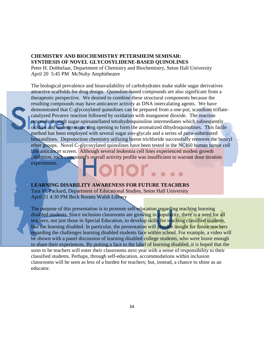## <span id="page-33-0"></span>**CHEMISTRY AND BIOCHEMISTRY PETERSHEIM SEMINAR: SYNTHESIS OF NOVEL GLYCOSYLIDENE-BASED QUINOLINES**

Peter H. Dobbelaar, Department of Chemistry and Biochemistry, Seton Hall University April 20 5:45 PM McNulty Amphitheatre

The biological prevalence and bioavailability of carbohydrates make stable sugar derivatives attractive scaffolds for drug design. Quinoline-based compounds are also significant from a therapeutic perspective. We desired to combine these structural components because the resulting compounds may have anticancer activity as DNA intercalating agents. We have demonstrated that C-glycosylated quinolines can be prepared from a one-pot, scandium triflatecatalyzed Povarov reaction followed by oxidation with manganese dioxide. The reaction proceeds through sugar-spiroanellated tetrahydroquinoline intermediates which subsequently oxidize and undergo sugar ring opening to form the aromatized dihydroquinolines. This facile method has been employed with several sugar *exo*-glycals and a series of *para*-substituted benzanilines. Deprotection chemistry utilizing boron trichloride successfully removes the benzyl ether groups. Novel C-glycosylated quinolines have been tested in the NCI60 human tumor cell line anticancer screen. Although several leukemia cell lines experienced modest growth inhibition, each compound's overall activity profile was insufficient to warrant dose titration experiments.

### <span id="page-33-2"></span>**LEARNING DISABILITY AWARENESS FOR FUTURE TEACHERS**

Tara M. Packard, Department of Educational Studies, Seton Hall University April 21 4:30 PM Beck Rooms Walsh Library

<span id="page-33-1"></span>The purpose of this presentation is to promote self-education regarding teaching learning disabled students. Since inclusion classrooms are growing in popularity, there is a need for all teachers, not just those in Special Education, to develop skills for teaching classified students, like the learning disabled. In particular, the presentation will provide insight for future teachers regarding the challenges learning disabled students face within school. For example, a video will be shown with a panel discussion of learning disabled college students, who were brave enough to share their experiences. By putting a face to the label of learning disabled, it is hoped that the soon to be teachers will enter their classrooms next year with a sense of responsibility to their classified students. Perhaps, through self-education, accommodations within inclusion classrooms will be seen as less of a burden for teachers; but, instead, a chance to shine as an educator.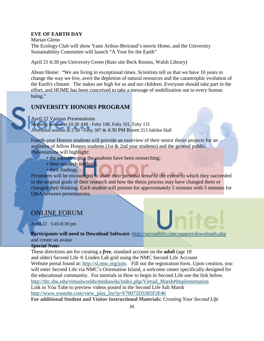#### **EVE OF EARTH DAY**

Marian Glenn The Ecology Club will show Yann Arthus-Bertrand's movie *Home*, and the University Sustainability Committee will launch "A Year for the Earth"

April 21 6:30 pm University Green (Rain site Beck Rooms, Walsh Library)

About Home: "We are living in exceptional times. Scientists tell us that we have 10 years to change the way we live, avert the depletion of natural resources and the catastrophic evolution of the Earth's climate. The stakes are high for us and our children. Everyone should take part in the effort, and HOME has been conceived to take a message of mobilization out to every human being."

# <span id="page-34-0"></span>**UNIVERSITY HONORS PROGRAM**

April 22 Various Presentations Morning session at 10:30 AM - Fahy 108, Fahy 101, Fahy 131 Afternoon session at 2:30 - Fahy 307 & 4:30 PM Room 213 Jubilee Hall

Fourth-year Honors students will provide an overview of their senior thesis projects for an audience of fellow Honors students (1st & 2nd year students) and the general public. Presentations will highlight:

- the various topics the students have been researching;
- their research methods;
- their findings.

Presenters will be encouraged to share their personal sense of the extent to which they succeeded in the original goals of their research and how the thesis process may have changed them or changed their thinking. Each student will present for approximately 5 minutes with 5 minutes for Q&A between presentations.

# ONLINE FORUM

April 22 5:45-8:30 pm

# **Participants will need to Download Software** [-http://secondlife.com/support/downloads.php](http://secondlife.com/support/downloads.php) and create an avatar

*Special Note:*

These directions are for creating a *free*, standard account on the *adult* (age 18 and older) Second Life ® Linden Lab grid using the NMC Second Life Account Website portal found at: [http://sl.nmc.org/join.](http://sl.nmc.org/join) Fill out the registration form. Upon creation, you will enter Second Life via NMC's Orientation Island, a welcome center specifically designed for the educational community. For tutorials in How to begin in Second Life use the link below. [http://tltc.shu.edu/virtualworlds/mediawiki/index.php/Virtual\\_Marsh#Implementation](http://tltc.shu.edu/virtualworlds/mediawiki/index.php/Virtual_Marsh#Implementation) Link to You Tube to preview videos posted in the Second Life Salt Marsh [http://www.youtube.com/view\\_play\\_list?p=F70072D3385F2F46](http://www.youtube.com/view_play_list?p=F70072D3385F2F46) **For additional Student and Visitor Instructional Materials:** *Creating Your Second Life*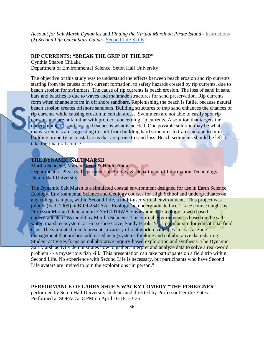*Account for Salt Marsh Dynamics* and *Finding the Virtual Marsh on Pirate Island* - [Instructions](http://www.heiditrotta.com/vm/how_to_begin_sl.pdf) (2) *Second Life Quick Start Guide* - [Second Life Skills](http://www.heiditrotta.com/vm/Second_Life_Quickstart_06_09.pdf)

#### **RIP CURRENTS: "BREAK THE GRIP OF THE RIP"**

Cynthia Sharon Chilaka Department of Environmental Science, Seton Hall University

The objective of this study was to understand the effects between beach erosion and rip currents starting from the causes of rip current formation, to safety hazards created by rip currents, due to beach erosion for swimmers. The cause of rip currents is beach erosion. The loss of sand in sand bars and beaches is due to waves and manmade structures for sand preservation. Rip currents form when channels form in off shore sandbars. Replenishing the beach is futile, because natural beach erosion creates offshore sandbars. Building structures to trap sand enhances the chances of rip currents while causing erosion in certain areas. Swimmers are not able to easily spot rip currents and are unfamiliar with protocol concerning rip currents. A solution that targets the underpinning of sand loss on beaches is what is needed. One possible solution may be what many scientists are suggesting to shift from building hard structures to trap sand and to limit building property in coastal areas that are prone to sand loss. Beach sediments should be left to take their natural course.

## **THE DYNAMIC SALT MARSH**

Martha Schoene, Marian Glenn & Heidi Trotta Department of Physics, Department of Biology & Department of Information Technology Seton Hall University

The Dynamic Salt Marsh is a simulated coastal environment designed for use in Earth Science, Ecology, Environmental Science and Geology courses for High School and undergraduates on any college campus, within Second Life, a multi-user virtual environment. This project was piloted (Fall, 2009) in BIOL2341AA - Ecology, an undergraduate face-2-face course taught by Professor Marian Glenn and in ENVL1019WB-Environmental Geology, a web based undergraduate class taught by Martha Schoene. This virtual environment is based on the saltwater marsh ecosystem, at Horseshoe Cove, Sandy Hook, NJ, a popular site for educational field trips. The simulated marsh presents a variety of real world challenges in coastal zone management that are best addressed using systems thinking and collaborative data-sharing. Student activities focus on collaborative inquiry-based exploration and synthesis. The Dynamic Salt Marsh activity demonstrates how to gather, interpret and analyze data to solve a real-world problem - - a mysterious fish kill. This presentation can take participants on a field trip within Second Life. No experience with Second Life is necessary, but participants who have Second Life avatars are invited to join the explorations "in person."

### <span id="page-35-0"></span>**PERFORMANCE OF LARRY SHUE'S WACKY COMEDY "THE FOREIGNER"**

performed by Seton Hall University students and directed by Professor Deirdre Yates. Performed at SOPAC at 8 PM on April 16-18, 23-25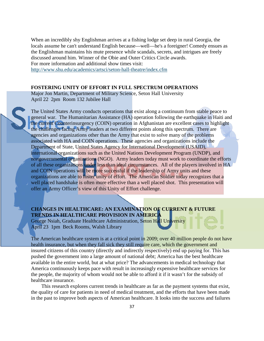When an incredibly shy Englishman arrives at a fishing lodge set deep in rural Georgia, the locals assume he can't understand English because—well—he's a foreigner! Comedy ensues as the Englishman maintains his mute presence while scandals, secrets, and intrigues are freely discussed around him. Winner of the Obie and Outer Critics Circle awards. For more information and additional show times visit:

<http://www.shu.edu/academics/artsci/seton-hall-theatre/index.cfm>

## <span id="page-36-0"></span>**FOSTERING UNITY OF EFFORT IN FULL SPECTRUM OPERATIONS**

Major Jon Martin, Department of Military Science, Seton Hall University April 22 2pm Room 132 Jubilee Hall

The United States Army conducts operations that exist along a continuum from stable peace to general war. The Humanitarian Assistance (HA) operation following the earthquake in Haiti and the current Counterinsurgency (COIN) operation in Afghanistan are excellent cases to highlight the challenges facing Army leaders at two different points along this spectrum. There are agencies and organizations other than the Army that exist to solve many of the problems associated with HA and COIN operations. These agencies and organizations include the Department of State, United States Agency for International Development (USAID), international organizations such as the United Nations Development Program (UNDP), and nongovernmental organizations (NGO). Army leaders today must work to coordinate the efforts of all these organizations under less than ideal circumstances. All of the players involved in HA and COIN operations will be more successful if the leadership of Army units and these organizations are able to foster unity of effort. The American Soldier today recognizes that a well placed handshake is often more effective than a well placed shot. This presentation will offer an Army Officer's view of this Unity of Effort challenge.

# **CHANGES IN HEALTHCARE: AN EXAMINATION OF CURRENT & FUTURE TRENDS IN HEALTHCARE PROVISION IN AMERICA**

George Nsiah, Graduate Healthcare Administration, Seton Hall University April 23 1pm Beck Rooms, Walsh Library

The American healthcare system is at a critical point in 2009; over 40 million people do not have health insurance, but when they fall sick they still require care, which the government and insured citizens of this country (directly and indirectly respectively) end up paying for. This has pushed the government into a large amount of national debt; America has the best healthcare available in the entire world, but at what price? The advancements in medical technology that America continuously keeps pace with result in increasingly expensive healthcare services for the people, the majority of whom would not be able to afford it if it wasn't for the subsidy of healthcare insurance.

 This research explores current trends in healthcare as far as the payment systems that exist, the quality of care for patients in need of medical treatment, and the efforts that have been made in the past to improve both aspects of American healthcare. It looks into the success and failures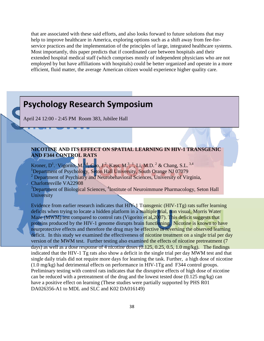that are associated with these said efforts, and also looks forward to future solutions that may help to improve healthcare in America, exploring options such as a shift away from fee-forservice practices and the implementation of the principles of large, integrated healthcare systems. Most importantly, this paper predicts that if coordinated care between hospitals and their extended hospital medical staff (which comprises mostly of independent physicians who are not employed by but have affiliations with hospitals) could be better organized and operate in a more efficient, fluid matter, the average American citizen would experience higher quality care.

# <span id="page-37-0"></span>**Psychology Research Symposium Psychology Research Symposium** April 24 12:00 - 2:45 PM Room 383, Jubilee Hall **NICOTINE AND ITS EFFECT ON SPATIAL LEARNING IN HIV-1 TRANSGENIC AND F344 CONTROL RATS** Kroner, D<sup>1</sup>. Vigorito, M.<sup>14</sup>, Cao, J.<sup>2</sup>, Kass, M.<sup>3</sup>, <sup>1</sup>, Li, M.D.<sup>2</sup> & Chang, S.L.<sup>3,4</sup><br><sup>1</sup>Department of Beychology, Saton Hell University, South Orange NJ 07070 <sup>1</sup>Department of Psychology, Seton Hall University, South Orange NJ 07079 <sup>2</sup> Department of Psychiatry and Neurobehavioral Sciences, University of Virginia, Charlottesville VA22908 <sup>3</sup>Department of Biological Sciences, <sup>4</sup>Institute of Neuroimmune Pharmacology, Seton Hall **University** Evidence from earlier research indicates that HIV-1 Transgenic (HIV-1Tg) rats suffer learning deficits when trying to locate a hidden platform in a multiple trial, non visual, Morris Water Maze (MWM) test compared to control rats (Vigorito et al, 2007). This deficit suggests that proteins produced by the HIV-1 genome disrupts brain functioning. Nicotine is known to have neurprotective effects and therefore the drug may be effective in reversing the observed learning deficit. In this study we examined the effectiveness of nicotine treatment on a single trial per day version of the MWM test. Further testing also examined the effects of nicotine pretreatment (7 days) as well as a dose response of 4 nicotine doses  $(0.125, 0.25, 0.5, 1.0 \text{ mg/kg})$ . The findings

indicated that the HIV-1 Tg rats also show a deficit in the single trial per day MWM test and that single daily trials did not require more days for learning the task. Further, a high dose of nicotine (1.0 mg/kg) had detrimental effects on performance in HIV-1Tg and F344 control groups. Preliminary testing with control rats indicates that the disruptive effects of high dose of nicotine can be reduced with a pretreatment of the drug and the lowest tested dose (0.125 mg/kg) can have a positive effect on learning (These studies were partially supported by PHS R01 DA026356-A1 to MDL and SLC and K02 DA016149)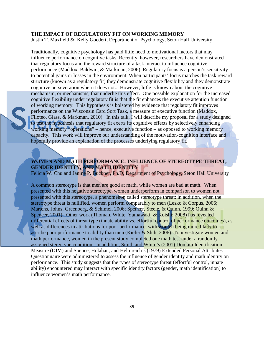### **THE IMPACT OF REGULATORY FIT ON WORKING MEMORY**

Justin T. Maxfield & Kelly Goedert, Department of Psychology, Seton Hall University

Traditionally, cognitive psychology has paid little heed to motivational factors that may influence performance on cognitive tasks. Recently, however, researchers have demonstrated that regulatory focus and the reward structure of a task interact to influence cognitive performance (Maddox, Baldwin, & Markman, 2006). Regulatory focus is a person's sensitivity to potential gains or losses in the environment. When participants' focus matches the task reward structure (known as a regulatory fit) they demonstrate cognitive flexibility and they demonstrate cognitive perseveration when it does not.. However, little is known about the cognitive mechanism, or mechanisms, that underlie this effect. One possible explanation for the increased cognitive flexibility under regulatory fit is that the fit enhances the executive attention function of working memory. This hypothesis is bolstered by evidence that regulatory fit improves performance on the Wisconsin Card Sort Task, a measure of executive function (Maddox, Filoteo, Glass, & Markman, 2010). In this talk, I will describe my proposal for a study designed to test the hypothesis that regulatory fit exerts its cognitive effects by selectively enhancing working memory "operations" – hence, executive function – as opposed to working memory capacity. This work will improve our understanding of the motivation-cognition interface and hopefully provide an explanation of the processes underlying regulatory fit.

# **WOMEN AND MATH PERFORMANCE: INFLUENCE OF STEREOTYPE THREAT, GENDER IDENTITY, AND MATH IDENTITY**

Felicia W. Chu and Janine P. Buckner, Ph.D, Department of Psychology, Seton Hall University

A common stereotype is that men are good at math, while women are bad at math. When presented with this negative stereotype, women underperform in comparison to women not presented with this stereotype, a phenomenon called stereotype threat; in addition, when the stereotype threat is nullified, women perform comparably to men (Lesko & Corpus, 2006; Martens, Johns, Greenberg, & Schimel, 2006; Spencer, Steele, & Quinn, 1999; Quinn & Spencer, 2001). Other work (Thoman, White, Yamawaki, & Koishi; 2008) has revealed differential effects of threat type (innate ability vs. effortful control of performance outcomes), as well as differences in attributions for poor performance, with women being more likely to ascribe poor performance to ability than men (Kiefer & Shih, 2006). To investigate women and math performance, women in the present study completed one math test under a randomly assigned stereotype condition. In addition, Smith and White's (2001) Domain Identification Measure (DIM) and Spence, Holahan, and Helmreich's (1979) Extended Personal Attributes Questionnaire were administered to assess the influence of gender identity and math identity on performance. This study suggests that the types of stereotype threat (effortful control, innate ability) encountered may interact with specific identity factors (gender, math identification) to influence women's math performance.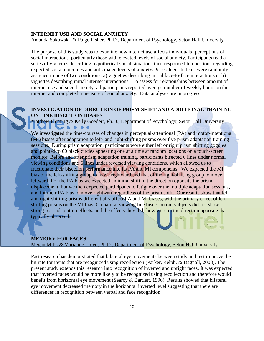#### **INTERNET USE AND SOCIAL ANXIETY**

Amanda Sakowski & Paige Fisher, Ph.D., Department of Psychology, Seton Hall University

The purpose of this study was to examine how internet use affects individuals' perceptions of social interactions, particularly those with elevated levels of social anxiety. Participants read a series of vignettes describing hypothetical social situations then responded to questions regarding expected social outcomes and anticipated levels of anxiety. 91 college students were randomly assigned to one of two conditions: a) vignettes describing initial face-to-face interactions or b) vignettes describing initial internet interactions. To assess for relationships between amount of internet use and social anxiety, all participants reported average number of weekly hours on the internet and completed a measure of social anxiety. Data analyses are in progress.

## **INVESTIGATION OF DIRECTION OF PRISM-SHIFT AND ADDITIONAL TRAINING ON LINE BISECTION BIASES**

Matthew Fleming & Kelly Goedert, Ph.D., Department of Psychology, Seton Hall University

We investigated the time-courses of changes in perceptual-attentional (PA) and motor-intentional (MI) biases after adaptation to left- and right-shifting prisms over five prism adaptation training sessions. During prism adaptation, participants wore either left or right prism shifting goggles and pointed to 60 black circles appearing one at a time at random locations on a touch-screen monitor. Before and after prism adaptation training, participants bisected 6 lines under normal viewing conditions and 6 lines under reversed viewing conditions, which allowed us to fractionate their bisection performance into its PA and MI components. We expected the MI bias of the left-shifting group to move rightward and that of the right-shifting group to move leftward. For the PA bias we expected an initial shift in the direction opposite the prism displacement, but we then expected participants to fatigue over the multiple adaptation sessions, and for their PA bias to move rightward regardless of the prism shift. Our results show that left and right-shifting prisms differentially affect PA and MI biases, with the primary effect of leftshifting prisms on the MI bias. On natural viewing line bisection our subjects did not show strong post-adaptation effects, and the effects they did show were in the direction opposite that typically observed.

#### **MEMORY FOR FACES**

Megan Mills *&* Marianne Lloyd, Ph.D., Department of Psychology, Seton Hall University

Past research has demonstrated that bilateral eye movements between study and test improve the hit rate for items that are recognized using recollection (Parker, Relph, & Dagnall, 2008). The present study extends this research into recognition of inverted and upright faces. It was expected that inverted faces would be more likely to be recognized using recollection and therefore would benefit from horizontal eye movement (Searcy & Bartlett, 1996). Results showed that bilateral eye movement decreased memory in the horizontal inverted level suggesting that there are differences in recognition between verbal and face recognition.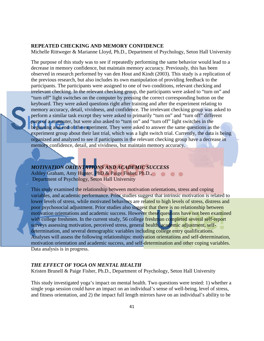#### **REPEATED CHECKING AND MEMORY CONFIDENCE**

Michelle Rittweger & Marianne Lloyd, Ph.D., Department of Psychology, Seton Hall University

The purpose of this study was to see if repeatedly performing the same behavior would lead to a decrease in memory confidence, but maintain memory accuracy. Previously, this has been observed in research performed by van den Hout and Kindt (2003). This study is a replication of the previous research, but also includes its own manipulation of providing feedback to the participants. The participants were assigned to one of two conditions, relevant checking and irrelevant checking. In the relevant checking group, the participants were asked to "turn on" and "turn off" light switches on the computer by pressing the correct corresponding button on the keyboard. They were asked questions right after training and after the experiment relating to memory accuracy, detail, vividness, and confidence. The irrelevant checking group was asked to perform a similar task except they were asked to primarily "turn on" and "turn off" different parts of a computer, but were also asked to "turn on" and "turn off" light switches in the beginning and end of the experiment. They were asked to answer the same questions as the experiment group about their last trial, which was a light switch trial. Currently, the data is being organized and analyzed to see if participants in the relevant checking group have a decrease in memory confidence, detail, and vividness, but maintain memory accuracy.

# *MOTIVATION ORIENTATIONS AND ACADEMIC SUCCESS*

Ashley Graham, Amy Hunter, PhD & Paige Fisher, Ph.D., Department of Psychology, Seton Hall University

This study examined the relationship between motivation orientations, stress and coping variables, and academic performance. Prior studies suggest that intrinsic motivation is related to lower levels of stress, while motivated behaviors are related to high levels of stress, distress and poor psychosocial adjustment. Prior studies also suggest that there is no relationship between motivation orientations and academic success. However these questions have not been examined with college freshmen. In the current study, 56 college freshman completed several self-report surveys assessing motivation, perceived stress, general health, academic adjustment, selfdetermination, and several demographic variables including college entry qualifications. Analyses will assess the following relationships: motivation orientations and self-determination, motivation orientation and academic success, and self-determination and other coping variables. Data analysis is in progress.

### *THE EFFECT OF YOGA ON MENTAL HEALTH*

Kristen Brunell & Paige Fisher, Ph.D., Department of Psychology, Seton Hall University

This study investigated yoga's impact on mental health. Two questions were tested: 1) whether a single yoga session could have an impact on an individual's sense of well-being, level of stress, and fitness orientation, and 2) the impact full length mirrors have on an individual's ability to be